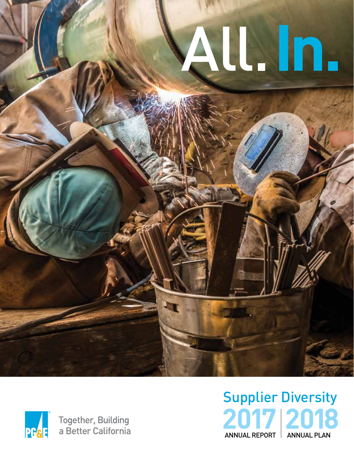# All. In.



# Supplier Diversity **2017 2018** ANNUAL REPORT | ANNUAL PLAN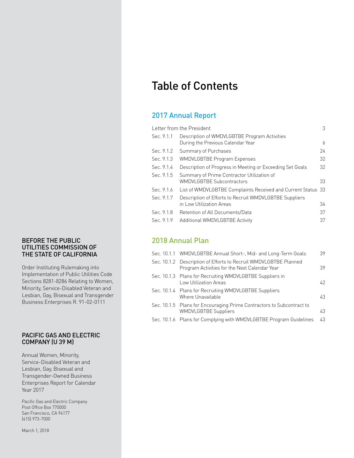#### BEFORE THE PUBLIC UTILITIES COMMISSION OF THE STATE OF CALIFORNIA

Order Instituting Rulemaking into Implementation of Public Utilities Code Sections 8281-8286 Relating to Women, Minority, Service-Disabled Veteran and Lesbian, Gay, Bisexual and Transgender Business Enterprises R. 91-02-0111

## PACIFIC GAS AND ELECTRIC COMPANY (U 39 M)

Annual Women, Minority, Service-Disabled Veteran and Lesbian, Gay, Bisexual and Transgender-Owned Business Enterprises Report for Calendar Year 2017

Pacific Gas and Electric Company Post Office Box 770000 San Francisco, CA 94177 (415) 973-7000

March 1, 2018

## Table of Contents

## 2017 Annual Report

| Letter from the President<br>3 |                                                                                    |    |  |  |  |
|--------------------------------|------------------------------------------------------------------------------------|----|--|--|--|
| Sec. 9.1.1                     | Description of WMDVLGBTBE Program Activities<br>During the Previous Calendar Year  | 6  |  |  |  |
| Sec. 9.1.2                     | Summary of Purchases                                                               | 24 |  |  |  |
| Sec. 9.1.3                     | <b>WMDVLGBTBE Program Expenses</b>                                                 | 32 |  |  |  |
| Sec. 9.1.4                     | Description of Progress in Meeting or Exceeding Set Goals                          | 32 |  |  |  |
| Sec. 9.1.5                     | Summary of Prime Contractor Utilization of<br><b>WMDVLGBTBE Subcontractors</b>     | 33 |  |  |  |
| Sec. 9.1.6                     | List of WMDVLGBTBE Complaints Received and Current Status 33                       |    |  |  |  |
| Sec. 9.1.7                     | Description of Efforts to Recruit WMDVLGBTBE Suppliers<br>in Low Utilization Areas | 34 |  |  |  |
| Sec. 9.1.8                     | Retention of All Documents/Data                                                    | 37 |  |  |  |
| Sec. 9.1.9                     | Additional WMDVLGBTBE Activity                                                     | 37 |  |  |  |

## 2018 Annual Plan

| Sec. 10.1.1 WMDVLGBTBE Annual Short-, Mid- and Long-Term Goals                                                    | 39 |
|-------------------------------------------------------------------------------------------------------------------|----|
| Sec. 10.1.2 Description of Efforts to Recruit WMDVLGBTBE Planned<br>Program Activities for the Next Calendar Year | 39 |
| Sec. 10.1.3 Plans for Recruiting WMDVLGBTBE Suppliers in<br>Low Utilization Areas                                 | 42 |
| Sec. 10.1.4 Plans for Recruiting WMDVLGBTBE Suppliers<br>Where Unavailable                                        | 43 |
| Sec. 10.1.5 Plans for Encouraging Prime Contractors to Subcontract to<br><b>WMDVLGBTBE Suppliers</b>              | 43 |
| Sec. 10.1.6 Plans for Complying with WMDVLGBTBE Program Guidelines                                                | 43 |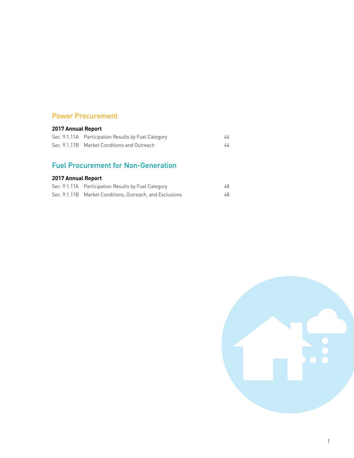## Power Procurement

## **2017 Annual Report**

| Sec. 9.1.11A Participation Results by Fuel Category |  |
|-----------------------------------------------------|--|
| Sec. 9.1.11B Market Conditions and Outreach         |  |

## Fuel Procurement for Non-Generation

## **2017 Annual Report**

| Sec. 9.1.11A Participation Results by Fuel Category      | 48 |
|----------------------------------------------------------|----|
| Sec. 9.1.11B Market Conditions. Outreach, and Exclusions | 48 |

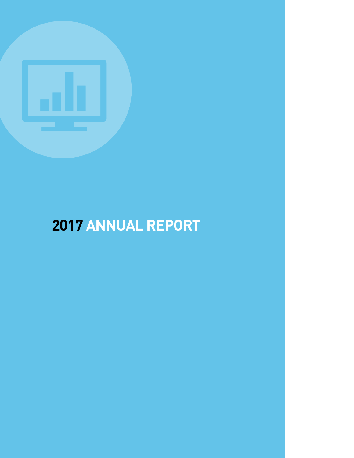

# **2017 ANNUAL REPORT**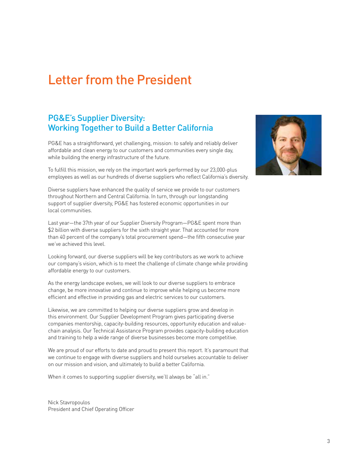## Letter from the President

## PG&E's Supplier Diversity: Working Together to Build a Better California

PG&E has a straightforward, yet challenging, mission: to safely and reliably deliver affordable and clean energy to our customers and communities every single day, while building the energy infrastructure of the future.

To fulfill this mission, we rely on the important work performed by our 23,000-plus employees as well as our hundreds of diverse suppliers who reflect California's diversity.

Diverse suppliers have enhanced the quality of service we provide to our customers throughout Northern and Central California. In turn, through our longstanding support of supplier diversity, PG&E has fostered economic opportunities in our local communities.

Last year—the 37th year of our Supplier Diversity Program—PG&E spent more than \$2 billion with diverse suppliers for the sixth straight year. That accounted for more than 40 percent of the company's total procurement spend—the fifth consecutive year we've achieved this level.

Looking forward, our diverse suppliers will be key contributors as we work to achieve our company's vision, which is to meet the challenge of climate change while providing affordable energy to our customers.

As the energy landscape evolves, we will look to our diverse suppliers to embrace change, be more innovative and continue to improve while helping us become more efficient and effective in providing gas and electric services to our customers.

Likewise, we are committed to helping our diverse suppliers grow and develop in this environment. Our Supplier Development Program gives participating diverse companies mentorship, capacity-building resources, opportunity education and valuechain analysis. Our Technical Assistance Program provides capacity-building education and training to help a wide range of diverse businesses become more competitive.

We are proud of our efforts to date and proud to present this report. It's paramount that we continue to engage with diverse suppliers and hold ourselves accountable to deliver on our mission and vision, and ultimately to build a better California.

When it comes to supporting supplier diversity, we'll always be "all in."

Nick Stavropoulos President and Chief Operating Officer

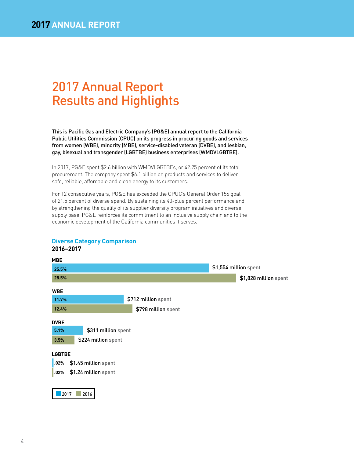## 2017 Annual Report Results and Highlights

This is Pacific Gas and Electric Company's (PG&E) annual report to the California Public Utilities Commission (CPUC) on its progress in procuring goods and services from women (WBE), minority (MBE), service-disabled veteran (DVBE), and lesbian, gay, bisexual and transgender (LGBTBE) business enterprises (WMDVLGBTBE).

In 2017, PG&E spent \$2.6 billion with WMDVLGBTBEs, or 42.25 percent of its total procurement. The company spent \$6.1 billion on products and services to deliver safe, reliable, affordable and clean energy to its customers.

For 12 consecutive years, PG&E has exceeded the CPUC's General Order 156 goal of 21.5 percent of diverse spend. By sustaining its 40-plus percent performance and by strengthening the quality of its supplier diversity program initiatives and diverse supply base, PG&E reinforces its commitment to an inclusive supply chain and to the economic development of the California communities it serves.



## **Diverse Category Comparison 2016–2017**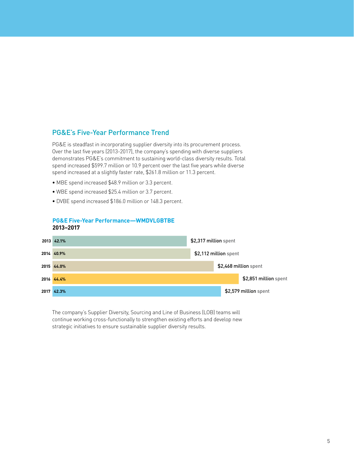## PG&E's Five-Year Performance Trend

PG&E is steadfast in incorporating supplier diversity into its procurement process. Over the last five years (2013-2017), the company's spending with diverse suppliers demonstrates PG&E's commitment to sustaining world-class diversity results. Total spend increased \$599.7 million or 10.9 percent over the last five years while diverse spend increased at a slightly faster rate, \$261.8 million or 11.3 percent.

- MBE spend increased \$48.9 million or 3.3 percent.
- WBE spend increased \$25.4 million or 3.7 percent.
- DVBE spend increased \$186.0 million or 148.3 percent.

## **PG&E Five-Year Performance—WMDVLGBTBE 2013–2017**



The company's Supplier Diversity, Sourcing and Line of Business (LOB) teams will continue working cross-functionally to strengthen existing efforts and develop new strategic initiatives to ensure sustainable supplier diversity results.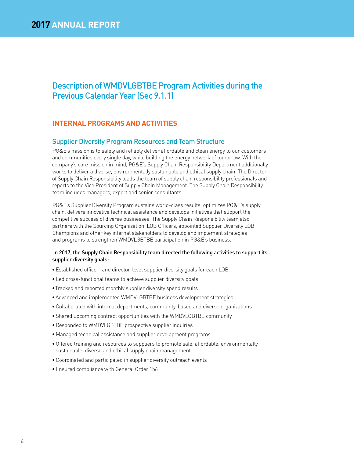## Description of WMDVLGBTBE Program Activities during the Previous Calendar Year (Sec 9.1.1)

## **INTERNAL PROGRAMS AND ACTIVITIES**

## Supplier Diversity Program Resources and Team Structure

PG&E's mission is to safely and reliably deliver affordable and clean energy to our customers and communities every single day, while building the energy network of tomorrow. With the company's core mission in mind, PG&E's Supply Chain Responsibility Department additionally works to deliver a diverse, environmentally sustainable and ethical supply chain. The Director of Supply Chain Responsibility leads the team of supply chain responsibility professionals and reports to the Vice President of Supply Chain Management. The Supply Chain Responsibility team includes managers, expert and senior consultants.

PG&E's Supplier Diversity Program sustains world-class results, optimizes PG&E's supply chain, delivers innovative technical assistance and develops initiatives that support the competitive success of diverse businesses. The Supply Chain Responsibility team also partners with the Sourcing Organization, LOB Officers, appointed Supplier Diversity LOB Champions and other key internal stakeholders to develop and implement strategies and programs to strengthen WMDVLGBTBE participation in PG&E's business.

#### In 2017, the Supply Chain Responsibility team directed the following activities to support its supplier diversity goals:

- Established officer- and director-level supplier diversity goals for each LOB
- Led cross-functional teams to achieve supplier diversity goals
- Tracked and reported monthly supplier diversity spend results
- Advanced and implemented WMDVLGBTBE business development strategies
- Collaborated with internal departments, community-based and diverse organizations
- Shared upcoming contract opportunities with the WMDVLGBTBE community
- Responded to WMDVLGBTBE prospective supplier inquiries
- Managed technical assistance and supplier development programs
- Offered training and resources to suppliers to promote safe, affordable, environmentally sustainable, diverse and ethical supply chain management
- Coordinated and participated in supplier diversity outreach events
- Ensured compliance with General Order 156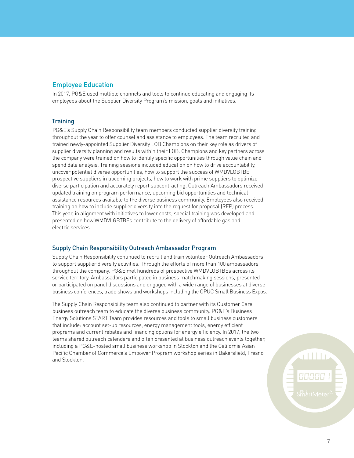## Employee Education

In 2017, PG&E used multiple channels and tools to continue educating and engaging its employees about the Supplier Diversity Program's mission, goals and initiatives.

#### **Training**

PG&E's Supply Chain Responsibility team members conducted supplier diversity training throughout the year to offer counsel and assistance to employees. The team recruited and trained newly-appointed Supplier Diversity LOB Champions on their key role as drivers of supplier diversity planning and results within their LOB. Champions and key partners across the company were trained on how to identify specific opportunities through value chain and spend data analysis. Training sessions included education on how to drive accountability, uncover potential diverse opportunities, how to support the success of WMDVLGBTBE prospective suppliers in upcoming projects, how to work with prime suppliers to optimize diverse participation and accurately report subcontracting. Outreach Ambassadors received updated training on program performance, upcoming bid opportunities and technical assistance resources available to the diverse business community. Employees also received training on how to include supplier diversity into the request for proposal (RFP) process. This year, in alignment with initiatives to lower costs, special training was developed and presented on how WMDVLGBTBEs contribute to the delivery of affordable gas and electric services.

#### Supply Chain Responsibility Outreach Ambassador Program

Supply Chain Responsibility continued to recruit and train volunteer Outreach Ambassadors to support supplier diversity activities. Through the efforts of more than 100 ambassadors throughout the company, PG&E met hundreds of prospective WMDVLGBTBEs across its service territory. Ambassadors participated in business matchmaking sessions, presented or participated on panel discussions and engaged with a wide range of businesses at diverse business conferences, trade shows and workshops including the CPUC Small Business Expos.

The Supply Chain Responsibility team also continued to partner with its Customer Care business outreach team to educate the diverse business community. PG&E's Business Energy Solutions START Team provides resources and tools to small business customers that include: account set-up resources, energy management tools, energy efficient programs and current rebates and financing options for energy efficiency. In 2017, the two teams shared outreach calendars and often presented at business outreach events together, including a PG&E-hosted small business workshop in Stockton and the California Asian Pacific Chamber of Commerce's Empower Program workshop series in Bakersfield, Fresno and Stockton.

rilli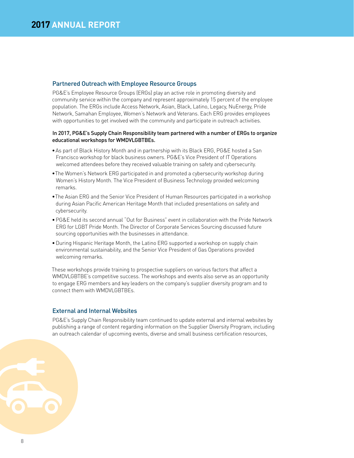#### Partnered Outreach with Employee Resource Groups

PG&E's Employee Resource Groups (ERGs) play an active role in promoting diversity and community service within the company and represent approximately 15 percent of the employee population. The ERGs include Access Network, Asian, Black, Latino, Legacy, NuEnergy, Pride Network, Samahan Employee, Women's Network and Veterans. Each ERG provides employees with opportunities to get involved with the community and participate in outreach activities.

#### In 2017, PG&E's Supply Chain Responsibility team partnered with a number of ERGs to organize educational workshops for WMDVLGBTBEs.

- As part of Black History Month and in partnership with its Black ERG, PG&E hosted a San Francisco workshop for black business owners. PG&E's Vice President of IT Operations welcomed attendees before they received valuable training on safety and cybersecurity.
- The Women's Network ERG participated in and promoted a cybersecurity workshop during Women's History Month. The Vice President of Business Technology provided welcoming remarks.
- The Asian ERG and the Senior Vice President of Human Resources participated in a workshop during Asian Pacific American Heritage Month that included presentations on safety and cybersecurity.
- PG&E held its second annual "Out for Business" event in collaboration with the Pride Network ERG for LGBT Pride Month. The Director of Corporate Services Sourcing discussed future sourcing opportunities with the businesses in attendance.
- During Hispanic Heritage Month, the Latino ERG supported a workshop on supply chain environmental sustainability, and the Senior Vice President of Gas Operations provided welcoming remarks.

These workshops provide training to prospective suppliers on various factors that affect a WMDVLGBTBE's competitive success. The workshops and events also serve as an opportunity to engage ERG members and key leaders on the company's supplier diversity program and to connect them with WMDVLGBTBEs.

#### External and Internal Websites

PG&E's Supply Chain Responsibility team continued to update external and internal websites by publishing a range of content regarding information on the Supplier Diversity Program, including an outreach calendar of upcoming events, diverse and small business certification resources,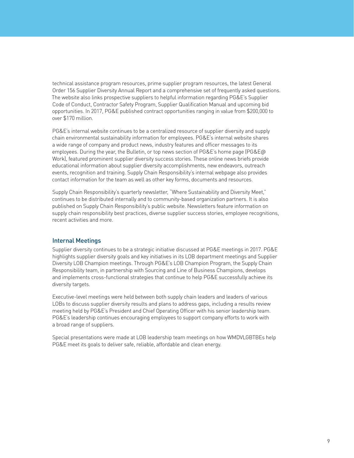technical assistance program resources, prime supplier program resources, the latest General Order 156 Supplier Diversity Annual Report and a comprehensive set of frequently asked questions. The website also links prospective suppliers to helpful information regarding PG&E's Supplier Code of Conduct, Contractor Safety Program, Supplier Qualification Manual and upcoming bid opportunities. In 2017, PG&E published contract opportunities ranging in value from \$200,000 to over \$170 million.

PG&E's internal website continues to be a centralized resource of supplier diversity and supply chain environmental sustainability information for employees. PG&E's internal website shares a wide range of company and product news, industry features and officer messages to its employees. During the year, the Bulletin, or top news section of PG&E's home page (PG&E@ Work), featured prominent supplier diversity success stories. These online news briefs provide educational information about supplier diversity accomplishments, new endeavors, outreach events, recognition and training. Supply Chain Responsibility's internal webpage also provides contact information for the team as well as other key forms, documents and resources.

Supply Chain Responsibility's quarterly newsletter, "Where Sustainability and Diversity Meet," continues to be distributed internally and to community-based organization partners. It is also published on Supply Chain Responsibility's public website. Newsletters feature information on supply chain responsibility best practices, diverse supplier success stories, employee recognitions, recent activities and more.

#### Internal Meetings

Supplier diversity continues to be a strategic initiative discussed at PG&E meetings in 2017. PG&E highlights supplier diversity goals and key initiatives in its LOB department meetings and Supplier Diversity LOB Champion meetings. Through PG&E's LOB Champion Program, the Supply Chain Responsibility team, in partnership with Sourcing and Line of Business Champions, develops and implements cross-functional strategies that continue to help PG&E successfully achieve its diversity targets.

Executive-level meetings were held between both supply chain leaders and leaders of various LOBs to discuss supplier diversity results and plans to address gaps, including a results review meeting held by PG&E's President and Chief Operating Officer with his senior leadership team. PG&E's leadership continues encouraging employees to support company efforts to work with a broad range of suppliers.

Special presentations were made at LOB leadership team meetings on how WMDVLGBTBEs help PG&E meet its goals to deliver safe, reliable, affordable and clean energy.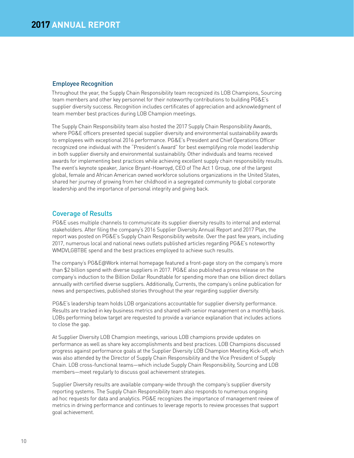#### Employee Recognition

Throughout the year, the Supply Chain Responsibility team recognized its LOB Champions, Sourcing team members and other key personnel for their noteworthy contributions to building PG&E's supplier diversity success. Recognition includes certificates of appreciation and acknowledgment of team member best practices during LOB Champion meetings.

The Supply Chain Responsibility team also hosted the 2017 Supply Chain Responsibility Awards, where PG&E officers presented special supplier diversity and environmental sustainability awards to employees with exceptional 2016 performance. PG&E's President and Chief Operations Officer recognized one individual with the "President's Award" for best exemplifying role model leadership in both supplier diversity and environmental sustainability. Other individuals and teams received awards for implementing best practices while achieving excellent supply chain responsibility results. The event's keynote speaker, Janice Bryant-Howroyd, CEO of The Act 1 Group, one of the largest global, female and African American owned workforce solutions organizations in the United States, shared her journey of growing from her childhood in a segregated community to global corporate leadership and the importance of personal integrity and giving back.

## Coverage of Results

PG&E uses multiple channels to communicate its supplier diversity results to internal and external stakeholders. After filing the company's 2016 Supplier Diversity Annual Report and 2017 Plan, the report was posted on PG&E's Supply Chain Responsibility website. Over the past few years, including 2017, numerous local and national news outlets published articles regarding PG&E's noteworthy WMDVLGBTBE spend and the best practices employed to achieve such results.

The company's PG&E@Work internal homepage featured a front-page story on the company's more than \$2 billion spend with diverse suppliers in 2017. PG&E also published a press release on the company's induction to the Billion Dollar Roundtable for spending more than one billion direct dollars annually with certified diverse suppliers. Additionally, Currents, the company's online publication for news and perspectives, published stories throughout the year regarding supplier diversity.

PG&E's leadership team holds LOB organizations accountable for supplier diversity performance. Results are tracked in key business metrics and shared with senior management on a monthly basis. LOBs performing below target are requested to provide a variance explanation that includes actions to close the gap.

At Supplier Diversity LOB Champion meetings, various LOB champions provide updates on performance as well as share key accomplishments and best practices. LOB Champions discussed progress against performance goals at the Supplier Diversity LOB Champion Meeting Kick-off, which was also attended by the Director of Supply Chain Responsibility and the Vice President of Supply Chain. LOB cross-functional teams—which include Supply Chain Responsibility, Sourcing and LOB members—meet regularly to discuss goal achievement strategies.

Supplier Diversity results are available company-wide through the company's supplier diversity reporting systems. The Supply Chain Responsibility team also responds to numerous ongoing ad hoc requests for data and analytics. PG&E recognizes the importance of management review of metrics in driving performance and continues to leverage reports to review processes that support goal achievement.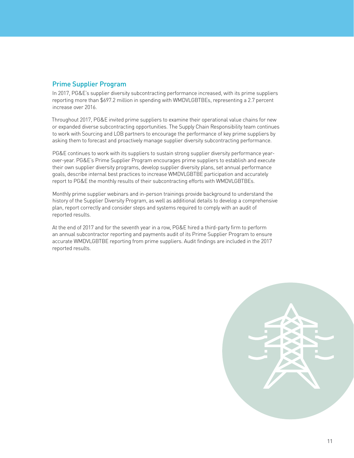## Prime Supplier Program

In 2017, PG&E's supplier diversity subcontracting performance increased, with its prime suppliers reporting more than \$697.2 million in spending with WMDVLGBTBEs, representing a 2.7 percent increase over 2016.

Throughout 2017, PG&E invited prime suppliers to examine their operational value chains for new or expanded diverse subcontracting opportunities. The Supply Chain Responsibility team continues to work with Sourcing and LOB partners to encourage the performance of key prime suppliers by asking them to forecast and proactively manage supplier diversity subcontracting performance.

PG&E continues to work with its suppliers to sustain strong supplier diversity performance yearover-year. PG&E's Prime Supplier Program encourages prime suppliers to establish and execute their own supplier diversity programs, develop supplier diversity plans, set annual performance goals, describe internal best practices to increase WMDVLGBTBE participation and accurately report to PG&E the monthly results of their subcontracting efforts with WMDVLGBTBEs.

Monthly prime supplier webinars and in-person trainings provide background to understand the history of the Supplier Diversity Program, as well as additional details to develop a comprehensive plan, report correctly and consider steps and systems required to comply with an audit of reported results.

At the end of 2017 and for the seventh year in a row, PG&E hired a third-party firm to perform an annual subcontractor reporting and payments audit of its Prime Supplier Program to ensure accurate WMDVLGBTBE reporting from prime suppliers. Audit findings are included in the 2017 reported results.

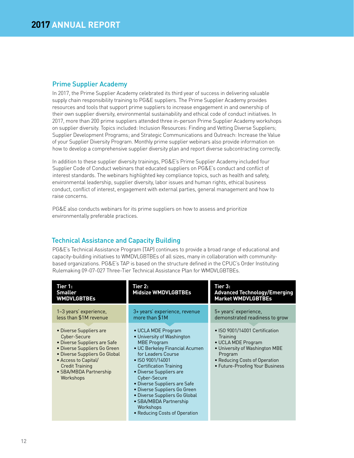## Prime Supplier Academy

In 2017, the Prime Supplier Academy celebrated its third year of success in delivering valuable supply chain responsibility training to PG&E suppliers. The Prime Supplier Academy provides resources and tools that support prime suppliers to increase engagement in and ownership of their own supplier diversity, environmental sustainability and ethical code of conduct initiatives. In 2017, more than 200 prime suppliers attended three in-person Prime Supplier Academy workshops on supplier diversity. Topics included: Inclusion Resources: Finding and Vetting Diverse Suppliers; Supplier Development Programs; and Strategic Communications and Outreach: Increase the Value of your Supplier Diversity Program. Monthly prime supplier webinars also provide information on how to develop a comprehensive supplier diversity plan and report diverse subcontracting correctly.

In addition to these supplier diversity trainings, PG&E's Prime Supplier Academy included four Supplier Code of Conduct webinars that educated suppliers on PG&E's conduct and conflict of interest standards. The webinars highlighted key compliance topics, such as health and safety, environmental leadership, supplier diversity, labor issues and human rights, ethical business conduct, conflict of interest, engagement with external parties, general management and how to raise concerns.

PG&E also conducts webinars for its prime suppliers on how to assess and prioritize environmentally preferable practices.

## Technical Assistance and Capacity Building

PG&E's Technical Assistance Program (TAP) continues to provide a broad range of educational and capacity-building initiatives to WMDVLGBTBEs of all sizes, many in collaboration with communitybased organizations. PG&E's TAP is based on the structure defined in the CPUC's Order Instituting Rulemaking 09-07-027 Three-Tier Technical Assistance Plan for WMDVLGBTBEs.

| Tier 1:<br><b>Smaller</b><br><b>WMDVLGBTBEs</b>                                                                                                                                                                                   | Tier 2:<br><b>Midsize WMDVLGBTBEs</b>                                                                                                                                                                                                                                                                                                                                                                   | Tier 3:<br><b>Advanced Technology/Emerging</b><br><b>Market WMDVLGBTBEs</b>                                                                                                       |
|-----------------------------------------------------------------------------------------------------------------------------------------------------------------------------------------------------------------------------------|---------------------------------------------------------------------------------------------------------------------------------------------------------------------------------------------------------------------------------------------------------------------------------------------------------------------------------------------------------------------------------------------------------|-----------------------------------------------------------------------------------------------------------------------------------------------------------------------------------|
| 1-3 years' experience,<br>less than \$1M revenue                                                                                                                                                                                  | 3+ years' experience, revenue<br>more than \$1M                                                                                                                                                                                                                                                                                                                                                         | 5+ years' experience,<br>demonstrated readiness to grow                                                                                                                           |
| • Diverse Suppliers are<br>Cyber-Secure<br>• Diverse Suppliers are Safe<br>• Diverse Suppliers Go Green<br>• Diverse Suppliers Go Global<br>• Access to Capital/<br><b>Credit Training</b><br>• SBA/MBDA Partnership<br>Workshops | • UCLA MDE Program<br>• University of Washington<br><b>MBE Program</b><br>• UC Berkeley Financial Acumen<br>for Leaders Course<br>• ISO 9001/14001<br><b>Certification Training</b><br>• Diverse Suppliers are<br>Cyber-Secure<br>• Diverse Suppliers are Safe<br>• Diverse Suppliers Go Green<br>· Diverse Suppliers Go Global<br>• SBA/MBDA Partnership<br>Workshops<br>• Reducing Costs of Operation | • ISO 9001/14001 Certification<br>Training<br>• UCLA MDE Program<br>• University of Washington MBE<br>Program<br>• Reducing Costs of Operation<br>• Future-Proofing Your Business |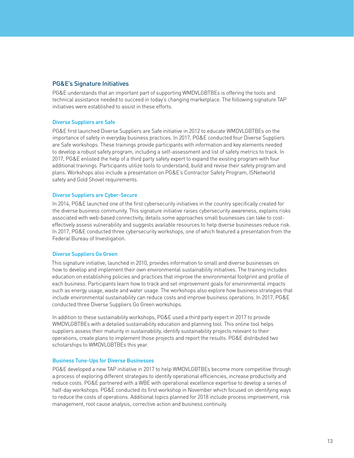#### PG&E's Signature Initiatives

PG&E understands that an important part of supporting WMDVLGBTBEs is offering the tools and technical assistance needed to succeed in today's changing marketplace. The following signature TAP initiatives were established to assist in these efforts.

#### Diverse Suppliers are Safe

PG&E first launched Diverse Suppliers are Safe initiative in 2012 to educate WMDVLGBTBEs on the importance of safety in everyday business practices. In 2017, PG&E conducted four Diverse Suppliers are Safe workshops. These trainings provide participants with information and key elements needed to develop a robust safety program, including a self-assessment and list of safety metrics to track. In 2017, PG&E enlisted the help of a third party safety expert to expand the existing program with four additional trainings. Participants utilize tools to understand, build and revise their safety program and plans. Workshops also include a presentation on PG&E's Contractor Safety Program, ISNetworld safety and Gold Shovel requirements.

#### Diverse Suppliers are Cyber-Secure

In 2014, PG&E launched one of the first cybersecurity initiatives in the country specifically created for the diverse business community. This signature initiative raises cybersecurity awareness, explains risks associated with web-based connectivity, details some approaches small businesses can take to costeffectively assess vulnerability and suggests available resources to help diverse businesses reduce risk. In 2017, PG&E conducted three cybersecurity workshops, one of which featured a presentation from the Federal Bureau of Investigation.

#### Diverse Suppliers Go Green

This signature initiative, launched in 2010, provides information to small and diverse businesses on how to develop and implement their own environmental sustainability initiatives. The training includes education on establishing policies and practices that improve the environmental footprint and profile of each business. Participants learn how to track and set improvement goals for environmental impacts such as energy usage, waste and water usage. The workshops also explore how business strategies that include environmental sustainability can reduce costs and improve business operations. In 2017, PG&E conducted three Diverse Suppliers Go Green workshops.

In addition to these sustainability workshops, PG&E used a third party expert in 2017 to provide WMDVLGBTBEs with a detailed sustainability education and planning tool. This online tool helps suppliers assess their maturity in sustainability, identify sustainability projects relevant to their operations, create plans to implement those projects and report the results. PG&E distributed two scholarships to WMDVLGBTBEs this year.

#### Business Tune-Ups for Diverse Businesses

PG&E developed a new TAP initiative in 2017 to help WMDVLGBTBEs become more competitive through a process of exploring different strategies to identify operational efficiencies, increase productivity and reduce costs. PG&E partnered with a WBE with operational excellence expertise to develop a series of half-day workshops. PG&E conducted its first workshop in November which focused on identifying ways to reduce the costs of operations. Additional topics planned for 2018 include process improvement, risk management, root cause analysis, corrective action and business continuity.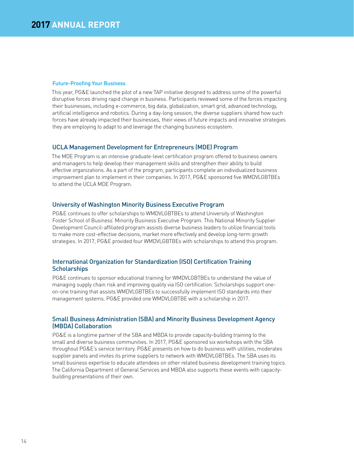#### Future-Proofing Your Business

This year, PG&E launched the pilot of a new TAP initiative designed to address some of the powerful disruptive forces driving rapid change in business. Participants reviewed some of the forces impacting their businesses, including e-commerce, big data, globalization, smart grid, advanced technology, artificial intelligence and robotics. During a day-long session, the diverse suppliers shared how such forces have already impacted their businesses, their views of future impacts and innovative strategies they are employing to adapt to and leverage the changing business ecosystem.

#### UCLA Management Development for Entrepreneurs (MDE) Program

The MDE Program is an intensive graduate-level certification program offered to business owners and managers to help develop their management skills and strengthen their ability to build effective organizations. As a part of the program, participants complete an individualized business improvement plan to implement in their companies. In 2017, PG&E sponsored five WMDVLGBTBEs to attend the UCLA MDE Program.

#### University of Washington Minority Business Executive Program

PG&E continues to offer scholarships to WMDVLGBTBEs to attend University of Washington Foster School of Business' Minority Business Executive Program. This National Minority Supplier Development Council-affiliated program assists diverse business leaders to utilize financial tools to make more cost-effective decisions, market more effectively and develop long-term growth strategies. In 2017, PG&E provided four WMDVLGBTBEs with scholarships to attend this program.

#### International Organization for Standardization (ISO) Certification Training **Scholarships**

PG&E continues to sponsor educational training for WMDVLGBTBEs to understand the value of managing supply chain risk and improving quality via ISO certification. Scholarships support oneon-one training that assists WMDVLGBTBEs to successfully implement ISO standards into their management systems. PG&E provided one WMDVLGBTBE with a scholarship in 2017.

#### Small Business Administration (SBA) and Minority Business Development Agency (MBDA) Collaboration

PG&E is a longtime partner of the SBA and MBDA to provide capacity-building training to the small and diverse business communities. In 2017, PG&E sponsored six workshops with the SBA throughout PG&E's service territory. PG&E presents on how to do business with utilities, moderates supplier panels and invites its prime suppliers to network with WMDVLGBTBEs. The SBA uses its small business expertise to educate attendees on other related business development training topics. The California Department of General Services and MBDA also supports these events with capacitybuilding presentations of their own.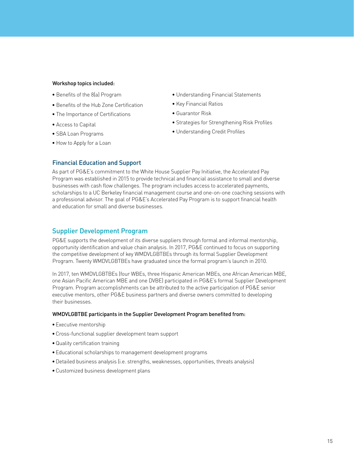#### Workshop topics included:

- Benefits of the 8(a) Program
- Benefits of the Hub Zone Certification
- The Importance of Certifications
- Access to Capital
- SBA Loan Programs
- How to Apply for a Loan
- Understanding Financial Statements
- Key Financial Ratios
- Guarantor Risk
- Strategies for Strengthening Risk Profiles
- Understanding Credit Profiles

#### Financial Education and Support

As part of PG&E's commitment to the White House Supplier Pay Initiative, the Accelerated Pay Program was established in 2015 to provide technical and financial assistance to small and diverse businesses with cash flow challenges. The program includes access to accelerated payments, scholarships to a UC Berkeley financial management course and one-on-one coaching sessions with a professional advisor. The goal of PG&E's Accelerated Pay Program is to support financial health and education for small and diverse businesses.

## Supplier Development Program

PG&E supports the development of its diverse suppliers through formal and informal mentorship, opportunity identification and value chain analysis. In 2017, PG&E continued to focus on supporting the competitive development of key WMDVLGBTBEs through its formal Supplier Development Program. Twenty WMDVLGBTBEs have graduated since the formal program's launch in 2010.

In 2017, ten WMDVLGBTBEs (four WBEs, three Hispanic American MBEs, one African American MBE, one Asian Pacific American MBE and one DVBE) participated in PG&E's formal Supplier Development Program. Program accomplishments can be attributed to the active participation of PG&E senior executive mentors, other PG&E business partners and diverse owners committed to developing their businesses.

#### WMDVLGBTBE participants in the Supplier Development Program benefited from:

- Executive mentorship
- Cross-functional supplier development team support
- Quality certification training
- Educational scholarships to management development programs
- Detailed business analysis (i.e. strengths, weaknesses, opportunities, threats analysis)
- Customized business development plans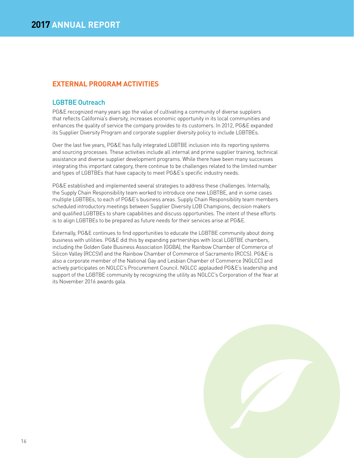## **EXTERNAL PROGRAM ACTIVITIES**

## LGBTBE Outreach

PG&E recognized many years ago the value of cultivating a community of diverse suppliers that reflects California's diversity, increases economic opportunity in its local communities and enhances the quality of service the company provides to its customers. In 2012, PG&E expanded its Supplier Diversity Program and corporate supplier diversity policy to include LGBTBEs.

Over the last five years, PG&E has fully integrated LGBTBE inclusion into its reporting systems and sourcing processes. These activities include all internal and prime supplier training, technical assistance and diverse supplier development programs. While there have been many successes integrating this important category, there continue to be challenges related to the limited number and types of LGBTBEs that have capacity to meet PG&E's specific industry needs.

PG&E established and implemented several strategies to address these challenges. Internally, the Supply Chain Responsibility team worked to introduce one new LGBTBE, and in some cases multiple LGBTBEs, to each of PG&E's business areas. Supply Chain Responsibility team members scheduled introductory meetings between Supplier Diversity LOB Champions, decision makers and qualified LGBTBEs to share capabilities and discuss opportunities. The intent of these efforts is to align LGBTBEs to be prepared as future needs for their services arise at PG&E.

Externally, PG&E continues to find opportunities to educate the LGBTBE community about doing business with utilities. PG&E did this by expanding partnerships with local LGBTBE chambers, including the Golden Gate Business Association (GGBA), the Rainbow Chamber of Commerce of Silicon Valley (RCCSV) and the Rainbow Chamber of Commerce of Sacramento (RCCS). PG&E is also a corporate member of the National Gay and Lesbian Chamber of Commerce (NGLCC) and actively participates on NGLCC's Procurement Council. NGLCC applauded PG&E's leadership and support of the LGBTBE community by recognizing the utility as NGLCC's Corporation of the Year at its November 2016 awards gala.

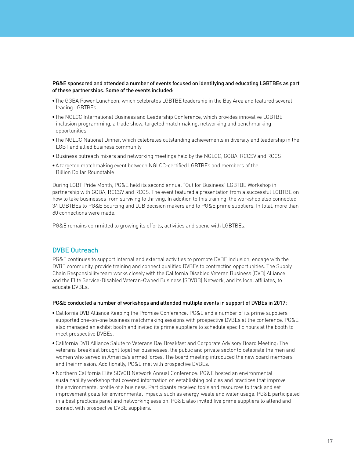#### PG&E sponsored and attended a number of events focused on identifying and educating LGBTBEs as part of these partnerships. Some of the events included:

- The GGBA Power Luncheon, which celebrates LGBTBE leadership in the Bay Area and featured several leading LGBTBEs
- The NGLCC International Business and Leadership Conference, which provides innovative LGBTBE inclusion programming, a trade show, targeted matchmaking, networking and benchmarking opportunities
- The NGLCC National Dinner, which celebrates outstanding achievements in diversity and leadership in the LGBT and allied business community
- Business outreach mixers and networking meetings held by the NGLCC, GGBA, RCCSV and RCCS
- A targeted matchmaking event between NGLCC-certified LGBTBEs and members of the Billion Dollar Roundtable

During LGBT Pride Month, PG&E held its second annual "Out for Business" LGBTBE Workshop in partnership with GGBA, RCCSV and RCCS. The event featured a presentation from a successful LGBTBE on how to take businesses from surviving to thriving. In addition to this training, the workshop also connected 34 LGBTBEs to PG&E Sourcing and LOB decision makers and to PG&E prime suppliers. In total, more than 80 connections were made.

PG&E remains committed to growing its efforts, activities and spend with LGBTBEs.

## DVBE Outreach

PG&E continues to support internal and external activities to promote DVBE inclusion, engage with the DVBE community, provide training and connect qualified DVBEs to contracting opportunities. The Supply Chain Responsibility team works closely with the California Disabled Veteran Business (DVB) Alliance and the Elite Service-Disabled Veteran-Owned Business (SDVOB) Network, and its local affiliates, to educate DVBEs.

#### PG&E conducted a number of workshops and attended multiple events in support of DVBEs in 2017:

- California DVB Alliance Keeping the Promise Conference: PG&E and a number of its prime suppliers supported one-on-one business matchmaking sessions with prospective DVBEs at the conference. PG&E also managed an exhibit booth and invited its prime suppliers to schedule specific hours at the booth to meet prospective DVBEs.
- California DVB Alliance Salute to Veterans Day Breakfast and Corporate Advisory Board Meeting: The veterans' breakfast brought together businesses, the public and private sector to celebrate the men and women who served in America's armed forces. The board meeting introduced the new board members and their mission. Additionally, PG&E met with prospective DVBEs.
- Northern California Elite SDVOB Network Annual Conference: PG&E hosted an environmental sustainability workshop that covered information on establishing policies and practices that improve the environmental profile of a business. Participants received tools and resources to track and set improvement goals for environmental impacts such as energy, waste and water usage. PG&E participated in a best practices panel and networking session. PG&E also invited five prime suppliers to attend and connect with prospective DVBE suppliers.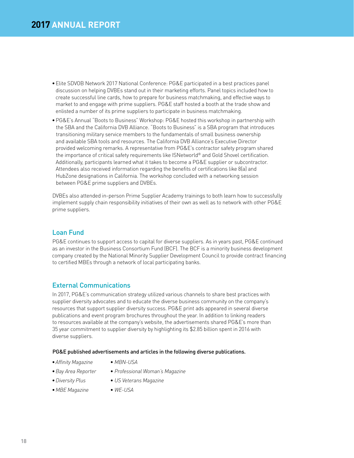- Elite SDVOB Network 2017 National Conference: PG&E participated in a best practices panel discussion on helping DVBEs stand out in their marketing efforts. Panel topics included how to create successful line cards, how to prepare for business matchmaking, and effective ways to market to and engage with prime suppliers. PG&E staff hosted a booth at the trade show and enlisted a number of its prime suppliers to participate in business matchmaking.
- PG&E's Annual "Boots to Business" Workshop: PG&E hosted this workshop in partnership with the SBA and the California DVB Alliance. "Boots to Business" is a SBA program that introduces transitioning military service members to the fundamentals of small business ownership and available SBA tools and resources. The California DVB Alliance's Executive Director provided welcoming remarks. A representative from PG&E's contractor safety program shared the importance of critical safety requirements like ISNetworld® and Gold Shovel certification. Additionally, participants learned what it takes to become a PG&E supplier or subcontractor. Attendees also received information regarding the benefits of certifications like 8(a) and HubZone designations in California. The workshop concluded with a networking session between PG&E prime suppliers and DVBEs.

DVBEs also attended in-person Prime Supplier Academy trainings to both learn how to successfully implement supply chain responsibility initiatives of their own as well as to network with other PG&E prime suppliers.

## Loan Fund

PG&E continues to support access to capital for diverse suppliers. As in years past, PG&E continued as an investor in the Business Consortium Fund (BCF). The BCF is a minority business development company created by the National Minority Supplier Development Council to provide contract financing to certified MBEs through a network of local participating banks.

## External Communications

In 2017, PG&E's communication strategy utilized various channels to share best practices with supplier diversity advocates and to educate the diverse business community on the company's resources that support supplier diversity success. PG&E print ads appeared in several diverse publications and event program brochures throughout the year. In addition to linking readers to resources available at the company's website, the advertisements shared PG&E's more than 35 year commitment to supplier diversity by highlighting its \$2.85 billion spent in 2016 with diverse suppliers.

#### PG&E published advertisements and articles in the following diverse publications.

- *Affinity Magazine*
- *MBN-USA*
- *Bay Area Reporter*
- *Professional Woman's Magazine*
- *Diversity Plus*
- *US Veterans Magazine*
- *MBE Magazine*
- *WE-USA*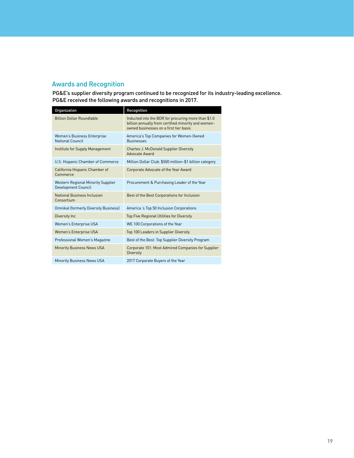## Awards and Recognition

PG&E's supplier diversity program continued to be recognized for its industry-leading excellence. PG&E received the following awards and recognitions in 2017.

| Organization                                                            | Recognition                                                                                                                                          |
|-------------------------------------------------------------------------|------------------------------------------------------------------------------------------------------------------------------------------------------|
| <b>Billion Dollar Roundtable</b>                                        | Inducted into the BDR for procuring more than \$1.0<br>billion annually from certified minority and women-<br>owned businesses on a first tier basis |
| Women's Business Enterprise<br>National Council                         | America's Top Companies for Women-Owned<br><b>Businesses</b>                                                                                         |
| Institute for Supply Management                                         | <b>Charles J. McDonald Supplier Diversity</b><br>Advocate Award                                                                                      |
| U.S. Hispanic Chamber of Commerce                                       | Million Dollar Club: \$500 million-\$1 billion category                                                                                              |
| California Hispanic Chamber of<br>Commerce                              | Corporate Advocate of the Year Award                                                                                                                 |
| <b>Western Regional Minority Supplier</b><br><b>Development Council</b> | Procurement & Purchasing Leader of the Year                                                                                                          |
| National Business Inclusion<br>Consortium                               | Best of the Best Corporations for Inclusion                                                                                                          |
| <b>Omnikal (formerly Diversity Business)</b>                            | America 's Top 50 Inclusion Corporations                                                                                                             |
| Diversity Inc                                                           | Top Five Regional Utilities for Diversity                                                                                                            |
| Women's Enterprise USA                                                  | WE 100 Corporations of the Year                                                                                                                      |
| Women's Enterprise USA                                                  | Top 100 Leaders in Supplier Diversity                                                                                                                |
| Professional Women's Magazine                                           | Best of the Best: Top Supplier Diversity Program                                                                                                     |
| <b>Minority Business News USA</b>                                       | Corporate 101: Most Admired Companies for Supplier<br><b>Diversity</b>                                                                               |
| <b>Minority Business News USA</b>                                       | 2017 Corporate Buyers of the Year                                                                                                                    |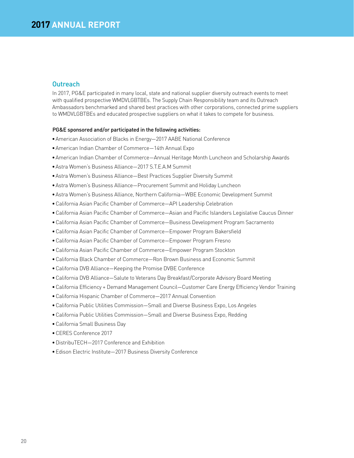## **Outreach**

In 2017, PG&E participated in many local, state and national supplier diversity outreach events to meet with qualified prospective WMDVLGBTBEs. The Supply Chain Responsibility team and its Outreach Ambassadors benchmarked and shared best practices with other corporations, connected prime suppliers to WMDVLGBTBEs and educated prospective suppliers on what it takes to compete for business.

#### PG&E sponsored and/or participated in the following activities:

- American Association of Blacks in Energy—2017 AABE National Conference
- American Indian Chamber of Commerce—14th Annual Expo
- American Indian Chamber of Commerce—Annual Heritage Month Luncheon and Scholarship Awards
- Astra Women's Business Alliance—2017 S.T.E.A.M Summit
- Astra Women's Business Alliance—Best Practices Supplier Diversity Summit
- Astra Women's Business Alliance—Procurement Summit and Holiday Luncheon
- Astra Women's Business Alliance, Northern California—WBE Economic Development Summit
- California Asian Pacific Chamber of Commerce—API Leadership Celebration
- California Asian Pacific Chamber of Commerce—Asian and Pacific Islanders Legislative Caucus Dinner
- California Asian Pacific Chamber of Commerce—Business Development Program Sacramento
- California Asian Pacific Chamber of Commerce—Empower Program Bakersfield
- California Asian Pacific Chamber of Commerce—Empower Program Fresno
- California Asian Pacific Chamber of Commerce—Empower Program Stockton
- California Black Chamber of Commerce—Ron Brown Business and Economic Summit
- California DVB Alliance—Keeping the Promise DVBE Conference
- California DVB Alliance—Salute to Veterans Day Breakfast/Corporate Advisory Board Meeting
- California Efficiency + Demand Management Council—Customer Care Energy Efficiency Vendor Training
- California Hispanic Chamber of Commerce—2017 Annual Convention
- California Public Utilities Commission—Small and Diverse Business Expo, Los Angeles
- California Public Utilities Commission—Small and Diverse Business Expo, Redding
- California Small Business Day
- CERES Conference 2017
- DistribuTECH—2017 Conference and Exhibition
- Edison Electric Institute—2017 Business Diversity Conference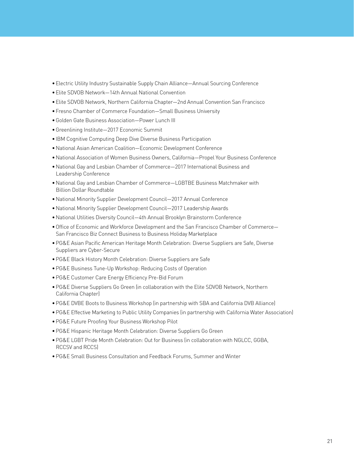- Electric Utility Industry Sustainable Supply Chain Alliance—Annual Sourcing Conference
- Elite SDVOB Network—14th Annual National Convention
- Elite SDVOB Network, Northern California Chapter—2nd Annual Convention San Francisco
- Fresno Chamber of Commerce Foundation—Small Business University
- Golden Gate Business Association—Power Lunch III
- Greenlining Institute—2017 Economic Summit
- IBM Cognitive Computing Deep Dive Diverse Business Participation
- National Asian American Coalition—Economic Development Conference
- National Association of Women Business Owners, California—Propel Your Business Conference
- National Gay and Lesbian Chamber of Commerce—2017 International Business and Leadership Conference
- National Gay and Lesbian Chamber of Commerce—LGBTBE Business Matchmaker with Billion Dollar Roundtable
- National Minority Supplier Development Council—2017 Annual Conference
- National Minority Supplier Development Council—2017 Leadership Awards
- National Utilities Diversity Council—4th Annual Brooklyn Brainstorm Conference
- Office of Economic and Workforce Development and the San Francisco Chamber of Commerce— San Francisco Biz Connect Business to Business Holiday Marketplace
- PG&E Asian Pacific American Heritage Month Celebration: Diverse Suppliers are Safe, Diverse Suppliers are Cyber-Secure
- PG&E Black History Month Celebration: Diverse Suppliers are Safe
- PG&E Business Tune-Up Workshop: Reducing Costs of Operation
- PG&E Customer Care Energy Efficiency Pre-Bid Forum
- PG&E Diverse Suppliers Go Green (in collaboration with the Elite SDVOB Network, Northern California Chapter)
- PG&E DVBE Boots to Business Workshop (in partnership with SBA and California DVB Alliance)
- PG&E Effective Marketing to Public Utility Companies (in partnership with California Water Association)
- PG&E Future Proofing Your Business Workshop Pilot
- PG&E Hispanic Heritage Month Celebration: Diverse Suppliers Go Green
- PG&E LGBT Pride Month Celebration: Out for Business (in collaboration with NGLCC, GGBA, RCCSV and RCCS)
- PG&E Small Business Consultation and Feedback Forums, Summer and Winter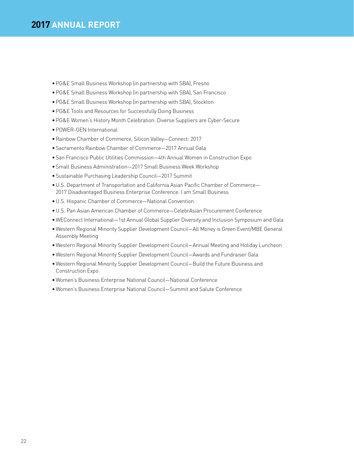- PG&E Small Business Workshop (in partnership with SBA), Fresno
- PG&E Small Business Workshop (in partnership with SBA), San Francisco
- PG&E Small Business Workshop (in partnership with SBA), Stockton
- PG&E Tools and Resources for Successfully Doing Business
- PG&E Women's History Month Celebration: Diverse Suppliers are Cyber-Secure
- POWER-GEN International
- Rainbow Chamber of Commerce, Silicon Valley—Connect: 2017
- Sacramento Rainbow Chamber of Commerce—2017 Annual Gala
- San Francisco Public Utilities Commission—4th Annual Women in Construction Expo
- Small Business Administration—2017 Small Business Week Workshop
- Sustainable Purchasing Leadership Council—2017 Summit
- U.S. Department of Transportation and California Asian Pacific Chamber of Commerce— 2017 Disadvantaged Business Enterprise Conference: I am Small Business
- U.S. Hispanic Chamber of Commerce—National Convention
- U.S. Pan Asian American Chamber of Commerce—CelebrAsian Procurement Conference
- WEConnect International—1st Annual Global Supplier Diversity and Inclusion Symposium and Gala
- Western Regional Minority Supplier Development Council—All Money is Green Event/MBE General Assembly Meeting
- Western Regional Minority Supplier Development Council—Annual Meeting and Holiday Luncheon
- Western Regional Minority Supplier Development Council—Awards and Fundraiser Gala
- Western Regional Minority Supplier Development Council—Build the Future Business and Construction Expo
- Women's Business Enterprise National Council—National Conference
- Women's Business Enterprise National Council—Summit and Salute Conference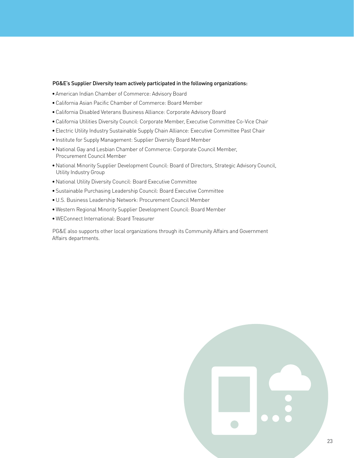#### PG&E's Supplier Diversity team actively participated in the following organizations:

- American Indian Chamber of Commerce: Advisory Board
- California Asian Pacific Chamber of Commerce: Board Member
- California Disabled Veterans Business Alliance: Corporate Advisory Board
- California Utilities Diversity Council: Corporate Member, Executive Committee Co-Vice Chair
- Electric Utility Industry Sustainable Supply Chain Alliance: Executive Committee Past Chair
- Institute for Supply Management: Supplier Diversity Board Member
- National Gay and Lesbian Chamber of Commerce: Corporate Council Member, Procurement Council Member
- National Minority Supplier Development Council: Board of Directors, Strategic Advisory Council, Utility Industry Group
- National Utility Diversity Council: Board Executive Committee
- Sustainable Purchasing Leadership Council: Board Executive Committee
- U.S. Business Leadership Network: Procurement Council Member
- Western Regional Minority Supplier Development Council: Board Member
- WEConnect International: Board Treasurer

PG&E also supports other local organizations through its Community Affairs and Government Affairs departments.

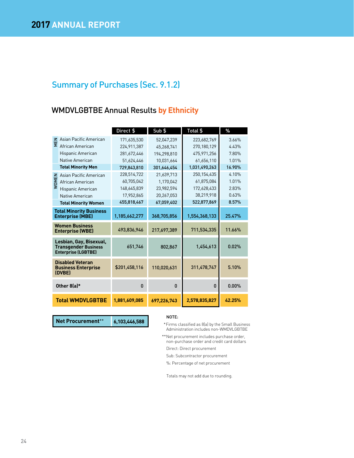## WMDVLGBTBE Annual Results **by Ethnicity**

|              |                                                                                      | Direct \$     | Sub \$       | Total \$                                             | $\%$   |
|--------------|--------------------------------------------------------------------------------------|---------------|--------------|------------------------------------------------------|--------|
|              | Z Asian Pacific American<br>Σ African American                                       | 171,635,530   | 52,047,239   | 223,682,769                                          | 3.66%  |
|              |                                                                                      | 224,911,387   | 45,268,741   | 270,180,129                                          | 4.43%  |
|              | Hispanic American                                                                    | 281,672,446   | 194.298.810  | 475,971,256                                          | 7.80%  |
|              | Native American                                                                      | 51,624,446    | 10,031,664   | 61,656,110                                           | 1.01%  |
|              | <b>Total Minority Men</b>                                                            | 729,843,810   | 301,646,454  | 1,031,490,263                                        | 16.90% |
|              | Asian Pacific American                                                               | 228,514,722   | 21,639,713   | 250,154,435                                          | 4.10%  |
| <b>WOMEN</b> | African American                                                                     | 60,705,042    | 1,170,042    | 61,875,084                                           | 1.01%  |
|              | Hispanic American                                                                    | 148,645,839   | 23.982.594   | 172,628,433                                          | 2.83%  |
|              | Native American                                                                      | 17,952,865    | 20,267,053   | 38,219,918                                           | 0.63%  |
|              | <b>Total Minority Women</b>                                                          | 455,818,467   | 67,059,402   | 522,877,869                                          | 8.57%  |
|              | <b>Total Minority Business</b>                                                       |               |              |                                                      |        |
|              | <b>Enterprise (MBE)</b>                                                              | 1,185,662,277 | 368,705,856  | 1,554,368,133                                        | 25.47% |
|              | <b>Women Business</b><br><b>Enterprise (WBE)</b>                                     | 493,836,946   | 217,697,389  | 711,534,335                                          | 11.66% |
|              | Lesbian, Gay, Bisexual,<br><b>Transgender Business</b><br><b>Enterprise (LGBTBE)</b> | 651,746       | 802,867      | 1,454,613                                            | 0.02%  |
|              | <b>Disabled Veteran</b><br><b>Business Enterprise</b><br>(DVBE)                      | \$201,458,116 | 110,020,631  | 311,478,747                                          | 5.10%  |
|              | Other 8(a)*                                                                          | $\bf{0}$      | $\mathbf{0}$ | $\mathbf{0}$                                         | 0.00%  |
|              | <b>Total WMDVLGBTBE</b>                                                              | 1,881,609,085 | 697,226,743  | 2,578,835,827                                        | 42.25% |
|              |                                                                                      |               |              |                                                      |        |
|              | <b>Net Procurement**</b>                                                             | 6.103.446.588 | NOTE:        | $*$ Finnes plannified an $0(a)$ but he Creat Dunings |        |

#### NOTE:

- \*Firms classified as 8(a) by the Small Business Administration includes non-WMDVLGBTBE
- \*\*Net procurement includes purchase order, non-purchase order and credit card dollars
- Direct: Direct procurement
- Sub: Subcontractor procurement
- %: Percentage of net procurement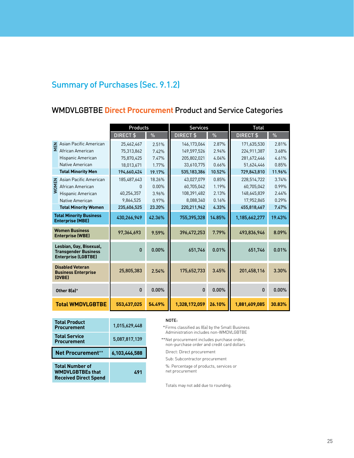## WMDVLGBTBE **Direct Procurement** Product and Service Categories

|                                                                                      |                                                                           | <b>Products</b> |          | <b>Services</b>                                                                                    |        | <b>Total</b>  |        |
|--------------------------------------------------------------------------------------|---------------------------------------------------------------------------|-----------------|----------|----------------------------------------------------------------------------------------------------|--------|---------------|--------|
|                                                                                      |                                                                           | DIRECT \$       | %        | DIRECT \$                                                                                          | %      | DIRECT \$     | $\%$   |
|                                                                                      | Asian Pacific American                                                    | 25,462,467      | 2.51%    | 146,173,064                                                                                        | 2.87%  | 171,635,530   | 2.81%  |
|                                                                                      | $\frac{Z}{Z}$ Asian r as African American                                 | 75,313,862      | 7.42%    | 149,597,526                                                                                        | 2.94%  | 224,911,387   | 3.68%  |
|                                                                                      | Hispanic American                                                         | 75,870,425      | 7.47%    | 205,802,021                                                                                        | 4.04%  | 281,672,446   | 4.61%  |
|                                                                                      | Native American                                                           | 18,013,671      | 1.77%    | 33,610,775                                                                                         | 0.66%  | 51,624,446    | 0.85%  |
|                                                                                      | <b>Total Minority Men</b>                                                 | 194,660,424     | 19.17%   | 535,183,386                                                                                        | 10.52% | 729,843,810   | 11.96% |
|                                                                                      | El Asian Pacific American<br>Sol African American<br>Sulfishanic American | 185,487,643     | 18.26%   | 43,027,079                                                                                         | 0.85%  | 228,514,722   | 3.74%  |
|                                                                                      |                                                                           | 0               | $0.00\%$ | 60,705,042                                                                                         | 1.19%  | 60,705,042    | 0.99%  |
|                                                                                      | Hispanic American                                                         | 40,254,357      | 3.96%    | 108,391,482                                                                                        | 2.13%  | 148,645,839   | 2.44%  |
|                                                                                      | Native American                                                           | 9,864,525       | 0.97%    | 8,088,340                                                                                          | 0.16%  | 17,952,865    | 0.29%  |
|                                                                                      | <b>Total Minority Women</b>                                               | 235,606,525     | 23.20%   | 220,211,942                                                                                        | 4.33%  | 455,818,467   | 7.47%  |
|                                                                                      | <b>Total Minority Business</b><br><b>Enterprise (MBE)</b>                 | 430,266,949     | 42.36%   | 755,395,328                                                                                        | 14.85% | 1,185,662,277 | 19.43% |
| <b>Women Business</b><br><b>Enterprise (WBE)</b>                                     |                                                                           | 97,364,693      | 9.59%    | 396,472,253                                                                                        | 7.79%  | 493,836,946   | 8.09%  |
| Lesbian, Gay, Bisexual,<br><b>Transgender Business</b><br><b>Enterprise (LGBTBE)</b> |                                                                           | $\mathbf{0}$    | 0.00%    | 651,746                                                                                            | 0.01%  | 651,746       | 0.01%  |
|                                                                                      | <b>Disabled Veteran</b><br><b>Business Enterprise</b><br>(DVBE)           | 25,805,383      | 2.54%    | 175,652,733                                                                                        | 3.45%  | 201,458,116   | 3.30%  |
|                                                                                      | Other 8(a)*                                                               | $\mathbf{0}$    | 0.00%    | 0                                                                                                  | 0.00%  | $\mathbf{0}$  | 0.00%  |
|                                                                                      | <b>Total WMDVLGBTBE</b>                                                   | 553,437,025     | 54.49%   | 1,328,172,059                                                                                      | 26.10% | 1,881,609,085 | 30.83% |
|                                                                                      |                                                                           |                 |          |                                                                                                    |        |               |        |
| <b>Total Product</b><br><b>Procurement</b>                                           |                                                                           | 1,015,629,448   |          | NOTE:<br>*Firms classified as 8(a) by the Small Business<br>Administration includes non-WMDVLGBTBE |        |               |        |
| <b>Total Service</b><br><b>Procurement</b>                                           |                                                                           | 5,087,817,139   |          | **Net procurement includes purchase order,<br>non-purchase order and credit card dollars           |        |               |        |
| <b>Net Procurement**</b>                                                             |                                                                           | 6,103,446,588   |          | Direct: Direct procurement                                                                         |        |               |        |

| <b>Total Product</b><br><b>Procurement</b>                                        | 1.015.629.448 |
|-----------------------------------------------------------------------------------|---------------|
| <b>Total Service</b><br><b>Procurement</b>                                        | 5,087,817,139 |
| <b>Net Procurement**</b>                                                          | 6,103,446,588 |
| <b>Total Number of</b><br><b>WMDVLGBTBEs that</b><br><b>Received Direct Spend</b> | 491           |

#### NOTE:

Direct: Direct procurement

Sub: Subcontractor procurement

%: Percentage of products, services or net procurement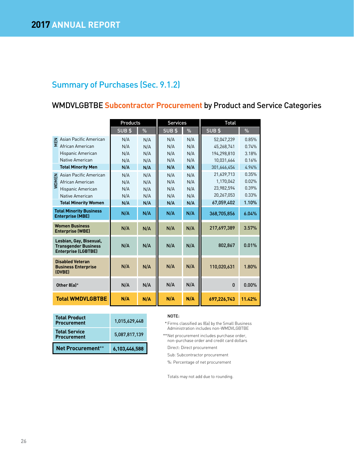## WMDVLGBTBE **Subcontractor Procurement** by Product and Service Categories

|                                                                                      |                           | <b>Products</b> |      | <b>Services</b> |               | <b>Total</b> |          |
|--------------------------------------------------------------------------------------|---------------------------|-----------------|------|-----------------|---------------|--------------|----------|
|                                                                                      |                           | SUB\$           | $\%$ | SUB\$           | $\frac{9}{6}$ | SUB\$        | $\%$     |
| MEN                                                                                  | Asian Pacific American    | N/A             | N/A  | N/A             | N/A           | 52,047,239   | 0.85%    |
|                                                                                      | African American          | N/A             | N/A  | N/A             | N/A           | 45.268.741   | 0.74%    |
|                                                                                      | Hispanic American         | N/A             | N/A  | N/A             | N/A           | 194.298.810  | 3.18%    |
|                                                                                      | Native American           | N/A             | N/A  | N/A             | N/A           | 10,031,664   | 0.16%    |
|                                                                                      | <b>Total Minority Men</b> | N/A             | N/A  | N/A             | N/A           | 301.646.454  | 4.94%    |
|                                                                                      | Asian Pacific American    | N/A             | N/A  | N/A             | N/A           | 21,639,713   | 0.35%    |
| <b>WOMEN</b>                                                                         | African American          | N/A             | N/A  | N/A             | N/A           | 1,170,042    | 0.02%    |
|                                                                                      | Hispanic American         | N/A             | N/A  | N/A             | N/A           | 23,982,594   | 0.39%    |
|                                                                                      | Native American           | N/A             | N/A  | N/A             | N/A           | 20,267,053   | 0.33%    |
| <b>Total Minority Women</b>                                                          |                           | N/A             | N/A  | N/A             | N/A           | 67,059,402   | 1.10%    |
| <b>Total Minority Business</b><br><b>Enterprise (MBE)</b>                            |                           | N/A             | N/A  | N/A             | N/A           | 368,705,856  | 6.04%    |
| <b>Women Business</b><br><b>Enterprise (WBE)</b>                                     |                           | N/A             | N/A  | N/A             | N/A           | 217,697,389  | 3.57%    |
| Lesbian, Gay, Bisexual,<br><b>Transgender Business</b><br><b>Enterprise (LGBTBE)</b> |                           | N/A             | N/A  | N/A             | N/A           | 802,867      | 0.01%    |
| <b>Disabled Veteran</b><br><b>Business Enterprise</b><br>(DVBE)                      |                           | N/A             | N/A  | N/A             | N/A           | 110,020,631  | 1.80%    |
| Other 8(a)*                                                                          |                           | N/A             | N/A  | N/A             | N/A           | $\mathbf{0}$ | $0.00\%$ |
| <b>Total WMDVLGBTBE</b>                                                              |                           | N/A             | N/A  | N/A             | N/A           | 697,226,743  | 11.42%   |

| <b>Total Product</b><br><b>Procurement</b> | 1.015.629.448 |
|--------------------------------------------|---------------|
| <b>Total Service</b><br><b>Procurement</b> | 5.087.817.139 |
| <b>Net Procurement**</b>                   | 6,103,446,588 |

#### NOTE:

- \*Firms classified as 8(a) by the Small Business Administration includes non-WMDVLGBTBE
- \*\*Net procurement includes purchase order, non-purchase order and credit card dollars Direct: Direct procurement
	- Sub: Subcontractor procurement
	- %: Percentage of net procurement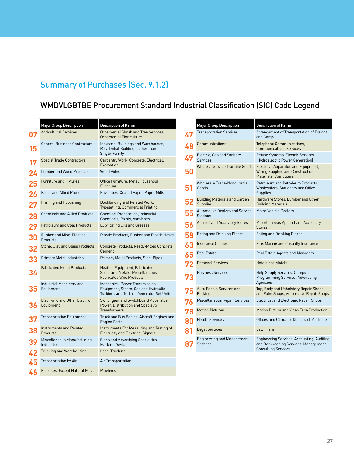## WMDVLGBTBE Procurement Standard Industrial Classification (SIC) Code Legend

| <b>Major Group Description</b>                    | <b>Description of Items</b>                                                                                                    |
|---------------------------------------------------|--------------------------------------------------------------------------------------------------------------------------------|
| <b>Agricultural Services</b>                      | Ornamental Shrub and Tree Services.<br>Ornamental Floriculture                                                                 |
| <b>General Business Contractors</b>               | Industrial Buildings and Warehouses,<br>Residential Buildings, other than<br>Single-Family                                     |
| <b>Special Trade Contractors</b>                  | Carpentry Work, Concrete, Electrical,<br>Excavation                                                                            |
| <b>Lumber and Wood Products</b>                   | <b>Wood Poles</b>                                                                                                              |
| <b>Furniture and Fixtures</b>                     | Office Furniture, Metal Household<br>Furniture                                                                                 |
| Paper and Allied Products                         | Envelopes, Coated Paper, Paper Mills                                                                                           |
| Printing and Publishing                           | Bookbinding and Related Work,<br><b>Typesetting, Commercial Printing</b>                                                       |
| <b>Chemicals and Allied Products</b>              | Chemical Preparation, Industrial<br>Chemicals, Paints, Varnishes                                                               |
| <b>Petroleum and Coal Products</b>                | Lubricating Oils and Greases                                                                                                   |
| Rubber and Misc. Plastics<br>Products             | Plastic Products, Rubber and Plastic Hoses                                                                                     |
| Stone, Clay and Glass Products                    | Concrete Products, Ready-Mixed Concrete,<br>Cement                                                                             |
| <b>Primary Metal Industries</b>                   | Primary Metal Products, Steel Pipes                                                                                            |
| <b>Fabricated Metal Products</b>                  | Heating Equipment, Fabricated<br><b>Structural Metals, Miscellaneous</b><br><b>Fabricated Wire Products</b>                    |
| Industrial Machinery and<br>Equipment             | <b>Mechanical Power Transmission</b><br>Equipment, Steam, Gas and Hydraulic<br><b>Turbines and Turbine Generator Set Units</b> |
| <b>Electronic and Other Electric</b><br>Equipment | Switchgear and Switchboard Apparatus,<br>Power, Distribution and Speciality<br><b>Transformers</b>                             |
| <b>Transportation Equipment</b>                   | Truck and Bus Bodies, Aircraft Engines and<br><b>Engine Parts</b>                                                              |
| <b>Instruments and Related</b><br>Products        | Instruments For Measuring and Testing of<br><b>Electricity and Electrical Signals</b>                                          |
| Miscellaneous Manufacturing<br>Industries         | Signs and Advertising Specialties,<br><b>Marking Devices</b>                                                                   |
| Trucking and Warehousing                          | Local Trucking                                                                                                                 |
| Transportation by Air                             | Air Transportation                                                                                                             |
| Pipelines, Except Natural Gas                     | Pipelines                                                                                                                      |
|                                                   |                                                                                                                                |

|    | <b>Major Group Description</b>                           | <b>Description of Items</b>                                                                                      |
|----|----------------------------------------------------------|------------------------------------------------------------------------------------------------------------------|
| 47 | <b>Transportation Services</b>                           | Arrangement of Transportation of Freight<br>and Cargo                                                            |
| 48 | Communications                                           | Telephone Communications,<br><b>Communications Services</b>                                                      |
| 49 | Electric, Gas and Sanitary<br>Services                   | Refuse Systems, Electric Services<br>(Hydroelectric Power Generation)                                            |
| 50 | <b>Wholesale Trade-Durable Goods</b>                     | Electrical Apparatus and Equipment,<br>Wiring Supplies and Construction<br>Materials, Computers                  |
| 51 | Wholesale Trade-Nondurable<br>Goods                      | Petroleum and Petroleum Products<br>Wholesalers, Stationery and Office<br>Supplies                               |
|    | Building Materials and Garden<br>Supplies                | Hardware Stores, Lumber and Other<br><b>Building Materials</b>                                                   |
| 55 | <b>Automotive Dealers and Service</b><br><b>Stations</b> | <b>Motor Vehicle Dealers</b>                                                                                     |
| 56 | <b>Apparel and Accessory Stores</b>                      | Miscellaneous Apparel and Accessory<br><b>Stores</b>                                                             |
| 58 | Eating and Drinking Places                               | Eating and Drinking Places                                                                                       |
| 63 | Insurance Carriers                                       | Fire, Marine and Casualty Insurance                                                                              |
| 65 | Real Estate                                              | Real Estate Agents and Managers                                                                                  |
| 72 | <b>Personal Services</b>                                 | <b>Hotels and Motels</b>                                                                                         |
| 73 | <b>Business Services</b>                                 | Help Supply Services, Computer<br>Programming Services, Advertising<br>Agencies                                  |
|    | Auto Repair, Services and<br>Parking                     | Top, Body and Upholstery Repair Shops<br>and Paint Shops, Automotive Repair Shops                                |
| 76 | Miscellaneous Repair Services                            | <b>Electrical and Electronic Repair Shops</b>                                                                    |
| 78 | <b>Motion Pictures</b>                                   | Motion Picture and Video Tape Production                                                                         |
| 80 | <b>Health Services</b>                                   | Offices and Clinics of Doctors of Medicine                                                                       |
| 81 | <b>Legal Services</b>                                    | Law Firms                                                                                                        |
|    | <b>Engineering and Management</b><br><b>Services</b>     | Engineering Services, Accounting, Auditing<br>and Bookkeeping Services, Management<br><b>Consulting Services</b> |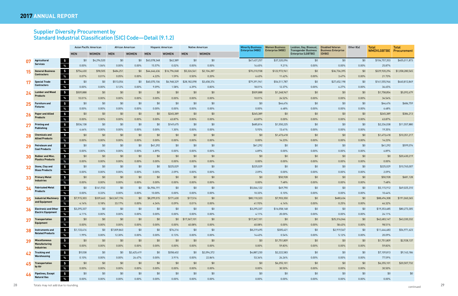## Supplier Diversity Procurement by Standard Industrial Classification (SIC) Code—Detail (9.1.2)

|           |                                                                           |             | <b>Asian Pacific American</b> |              | African American |              | <b>Hispanic American</b> |              | <b>Native American</b> | <b>Minority Business</b><br><b>Enterprise (MBE)</b> | <b>Women Business</b><br><b>Enterprise (WBE)</b> | Lesbian, Gay, Bisexual<br><b>Transgender Business</b> | <b>Disabled Veteran</b><br><b>Business Enterprise</b> | Other 8(a) | <b>Total</b>      | <b>Total</b>    |
|-----------|---------------------------------------------------------------------------|-------------|-------------------------------|--------------|------------------|--------------|--------------------------|--------------|------------------------|-----------------------------------------------------|--------------------------------------------------|-------------------------------------------------------|-------------------------------------------------------|------------|-------------------|-----------------|
|           |                                                                           | <b>MEN</b>  | <b>WOMEN</b>                  | <b>MEN</b>   | <b>WOMEN</b>     | <b>MEN</b>   | <b>WOMEN</b>             | <b>MEN</b>   | <b>WOMEN</b>           |                                                     |                                                  | Enterprise (LGBTBE)                                   | (DVBE)                                                |            | <b>WMDVLGBTBE</b> | Procurement     |
| 07        | $\boldsymbol{\mathsf{s}}$<br><b>Agricultural</b>                          | \$0         | \$4,296,520                   | \$0          | \$0              | \$63,078,348 | \$62,389                 | \$0          | \$0                    | \$67,437,257                                        | \$37,320,096                                     | \$0                                                   | \$0                                                   | \$0        | \$104,757,353     | \$405,011,873   |
|           | <b>Services</b><br>%                                                      | 0.00%       | 1.06%                         | 0.00%        | 0.00%            | 15.57%       | 0.02%                    | 0.00%        | $0.00\%$               | 16.65%                                              | 9.21%                                            | $0.00\%$                                              | 0.00%                                                 | $0.00\%$   | 25.87%            |                 |
| 15        | $\frac{1}{2}$<br><b>General Business</b>                                  | \$754,630   | \$98,505                      | \$484,251    | \$0              | \$44,646,636 | \$16,796,068             | \$5,326,561  | \$2,104,287            | \$70,210,938                                        | \$122,972,961                                    | \$0                                                   | \$36,736,395                                          | \$0        | \$229,920,294     | \$1,058,280,565 |
|           | <b>Contractors</b><br>$\%$                                                | 0.07%       | 0.01%                         | 0.05%        | 0.00%            | 4.22%        | 1.59%                    | 0.50%        | 0.20%                  | 6.63%                                               | 11.62%                                           | $0.00\%$                                              | 3.47%                                                 | $0.00\%$   | 21.73%            |                 |
|           | $\frac{1}{2}$<br><b>Special Trade</b>                                     | \$0         | \$0                           | \$513,054    | \$0              | \$40,070,106 | \$6,968,329              | \$28,182,098 | \$3,658,374            | \$79,391,961                                        | \$54,511,787                                     | \$0                                                   | \$27,652,198                                          | \$0        | \$161,555,946     | \$440,812,849   |
|           | <b>Contractors</b><br>$\frac{9}{6}$                                       | 0.00%       | 0.00%                         | 0.12%        | $0.00\%$         | 9.09%        | 1.58%                    | 6.39%        | 0.83%                  | 18.01%                                              | 12.37%                                           | $0.00\%$                                              | 6.27%                                                 | $0.00\%$   | 36.65%            |                 |
| 24        | $\frac{2}{3}$<br><b>Lumber and Wood</b>                                   | \$509,888   | \$0                           | \$0          | \$0              | \$0          | \$0                      | \$0          | \$0                    | \$509,888                                           | \$1,248,967                                      | \$0                                                   | \$0                                                   | \$0        | \$1,758,854       | \$5,092,679     |
|           | <b>Products</b><br>$\%$                                                   | 10.01%      | 0.00%                         | $0.00\%$     | $0.00\%$         | 0.00%        | 0.00%                    | 0.00%        | $0.00\%$               | 10.01%                                              | 24.52%                                           | 0.00%                                                 | 0.00%                                                 | 0.00%      | 34.54%            |                 |
|           | $\frac{1}{2}$<br><b>Furniture and</b>                                     | \$0         | \$0                           | \$0          | \$0              | \$0          | \$0                      | \$0          | \$0                    | \$0                                                 | \$44,476                                         | \$0                                                   | \$0                                                   | \$0        | \$44,476          | \$686,759       |
|           | <b>Fixtures</b><br>%                                                      | $0.00\%$    | 0.00%                         | $0.00\%$     | $0.00\%$         | 0.00%        | $0.00\%$                 | 0.00%        | $0.00\%$               | $0.00\%$                                            | 6.48%                                            | $0.00\%$                                              | 0.00%                                                 | $0.00\%$   | 6.48%             |                 |
| <b>26</b> | $\frac{4}{5}$<br><b>Paper and Allied</b>                                  | \$0         | \$0                           | \$0          | \$0              | \$0          | \$245,389                | \$0          | \$0                    | \$245,389                                           | \$0                                              | \$0                                                   | \$0                                                   | \$0        | \$245,389         | \$384,213       |
|           | Products<br>$\%$                                                          | 0.00%       | $0.00\%$                      | $0.00\%$     | $0.00\%$         | 0.00%        | 63.87%                   | 0.00%        | $0.00\%$               | 63.87%                                              | 0.00%                                            | 0.00%                                                 | 0.00%                                                 | $0.00\%$   | 63.87%            |                 |
| 27        | $\frac{1}{2}$<br><b>Printing and</b>                                      | \$536,138   | \$0                           | \$0          | \$0              | \$0          | \$149,675                | \$0          | \$0                    | \$685,814                                           | \$1,550,225                                      | \$0                                                   | \$0                                                   | \$0        | \$2,236,038       | \$11,557,880    |
|           | <b>Publishing</b><br>$\%$                                                 | 4.64%       | 0.00%                         | $0.00\%$     | $0.00\%$         | 0.00%        | 1.30%                    | 0.00%        | $0.00\%$               | 5.93%                                               | 13.41%                                           | $0.00\%$                                              | 0.00%                                                 | 0.00%      | 19.35%            |                 |
|           | $\frac{1}{2}$<br><b>Chemicals and</b>                                     | \$0         | \$0                           | \$0          | \$0              | \$0          | \$0                      | \$0          | \$0                    | \$0                                                 | \$1,473,418                                      | \$0                                                   | \$0                                                   | \$0        | \$1,473,418       | \$10,351,217    |
|           | <b>Allied Products</b><br>$\%$                                            | 0.00%       | 0.00%                         | $0.00\%$     | $0.00\%$         | 0.00%        | 0.00%                    | 0.00%        | $0.00\%$               | $0.00\%$                                            | 14.23%                                           | $0.00\%$                                              | $0.00\%$                                              | 0.00%      | 14.23%            |                 |
| 29        | $\boldsymbol{\$}$<br><b>Petroleum and</b>                                 | \$0         | \$0                           | \$0          | \$0              | \$41,292     | \$0                      | \$0          | \$0                    | \$41,292                                            | \$0                                              | \$0                                                   | \$0                                                   | \$0        | \$41,292          | \$599,074       |
|           | <b>Coal Products</b><br>$\%$                                              | 0.00%       | 0.00%                         | $0.00\%$     | $0.00\%$         | 6.89%        | $0.00\%$                 | 0.00%        | $0.00\%$               | 6.89%                                               | 0.00%                                            | $0.00\%$                                              | 0.00%                                                 | $0.00\%$   | 6.89%             |                 |
| 30        | $\boldsymbol{\mathsf{s}}$<br><b>Rubber and Misc.</b>                      | \$0         | \$0                           | \$0          | \$0              | \$0          | \$0                      | \$0          | \$0                    | \$0                                                 | \$0                                              | \$0                                                   | \$0                                                   | \$0        | \$0               | \$20,430,219    |
|           | <b>Plastics Products</b><br>$\%$                                          | 0.00%       | 0.00%                         | $0.00\%$     | 0.00%            | 0.00%        | 0.00%                    | 0.00%        | 0.00%                  | 0.00%                                               | $0.00\%$                                         | $0.00\%$                                              | 0.00%                                                 | 0.00%      | $0.00\%$          |                 |
| 32        | $\frac{4}{5}$<br>Stone, Clay and                                          | \$0         | \$0                           | \$0          | \$0              | \$0          | \$225,029                | \$0          | \$0                    | \$225,029                                           | \$0                                              | \$0                                                   | \$0                                                   | \$0        | \$225,029         | \$10,765,007    |
|           | <b>Glass Products</b><br>$\%$                                             | 0.00%       | 0.00%                         | $0.00\%$     | $0.00\%$         | 0.00%        | 2.09%                    | 0.00%        | $0.00\%$               | 2.09%                                               | 0.00%                                            | 0.00%                                                 | 0.00%                                                 | 0.00%      | 2.09%             |                 |
| 33        | $\frac{1}{2}$<br><b>Primary Metal</b>                                     | \$0         | \$0                           | \$0          | \$0              | \$0          | \$0                      | \$0          | \$0                    | \$0                                                 | \$50,928                                         | \$0                                                   | \$0                                                   | \$0        | \$50,928          | \$681,128       |
|           | Industries<br>$\%$                                                        | 0.00%       | 0.00%                         | $0.00\%$     | 0.00%            | 0.00%        | 0.00%                    | 0.00%        | $0.00\%$               | $0.00\%$                                            | 7.48%                                            | $0.00\%$                                              | 0.00%                                                 | 0.00%      | 7.48%             |                 |
| 34        | $\frac{1}{2}$<br><b>Fabricated Metal</b>                                  | \$0         | \$161,932                     | \$0          | \$0              | \$4,904,191  | \$0                      | \$0          | \$0                    | \$5,066,122                                         | \$49,790                                         | \$0                                                   | \$0                                                   | \$0        | \$5,115,912       | \$49,025,310    |
|           | <b>Products</b><br>$\%$                                                   | 0.00%       | 0.33%                         | $0.00\%$     | $0.00\%$         | 10.00%       | 0.00%                    | 0.00%        | 0.00%                  | 10.33%                                              | 0.10%                                            | $0.00\%$                                              | 0.00%                                                 | 0.00%      | 10.44%            |                 |
| 35        | $\frac{1}{2}$<br><b>Industrial Machinery</b><br>and Equipment             | \$7,915,303 | \$339,663                     | \$63,367,196 | \$0              | \$8,299,015  | \$171,630                | \$17,516     | \$0                    | \$80,110,323                                        | \$7,903,350                                      | \$0                                                   | \$480,634                                             | \$0        | \$88,494,308      | \$191,060,365   |
|           | $\%$                                                                      | 4.14%       | 0.18%                         | 33.17%       | $0.00\%$         | 4.34%        | 0.09%                    | 0.01%        | $0.00\%$               | 41.93%                                              | 4.14%                                            | 0.00%                                                 | 0.25%                                                 | 0.00%      | 46.32%            |                 |
| 36        | $\frac{1}{2}$<br><b>Electronic and Other</b><br><b>Electric Equipment</b> | \$3,295,337 | \$0                           | \$0          | \$0              | \$0          | \$0                      | \$0          | \$0                    | \$3,295,337                                         | \$16,058,148                                     | \$0                                                   | \$0                                                   | \$0        | \$19,353,485      | \$80,273,305    |
|           | $\%$                                                                      | 4.11%       | $0.00\%$                      | $0.00\%$     | $0.00\%$         | 0.00%        | $0.00\%$                 | 0.00%        | $0.00\%$               | 4.11%                                               | 20.00%                                           | $0.00\%$                                              | $0.00\%$                                              | $0.00\%$   | 24.11%            |                 |
| 37        | $\frac{4}{5}$<br><b>Transportation</b><br><b>Equipment</b>                | \$0         | \$0                           | \$0          | \$0              | \$0          | \$0                      | \$17,367,101 | \$0                    | \$17,367,101                                        | \$0                                              | \$0                                                   | \$25,316,046                                          | \$0        | \$42,683,147      | \$43,330,332    |
|           | %                                                                         | $0.00\%$    | $0.00\%$                      | $0.00\%$     | $0.00\%$         | $0.00\%$     | $0.00\%$                 | 40.08%       | $0.00\%$               | 40.08%                                              | $0.00\%$                                         | $0.00\%$                                              | 58.43%                                                | $0.00\%$   | 98.51%            |                 |
| 38        | $\mathsf{s}$<br>Instruments and<br><b>Related Products</b>                | \$1,133,416 | \$0                           | \$7,009,863  | \$0              | \$0          | \$76,216                 | \$0          | \$0                    | \$8,219,495                                         | \$305,421                                        | \$0                                                   | \$2,919,567                                           | \$0        | \$11,444,483      | \$56,971,623    |
|           | $\%$                                                                      | 1.99%       | $0.00\%$                      | 12.30%       | $0.00\%$         | $0.00\%$     | 0.13%                    | $0.00\%$     | $0.00\%$               | 14.43%                                              | 0.54%                                            | $0.00\%$                                              | 5.12%                                                 | $0.00\%$   | 20.09%            |                 |
| 39        | $\frac{1}{2}$<br><b>Miscellaneous</b><br><b>Manufacturing</b>             | \$0         | \$0                           | \$0          | \$0              | \$0          | \$0                      | \$0          | \$0                    | \$0                                                 | \$1,751,809                                      | \$0                                                   | \$0                                                   | \$0        | \$1,751,809       | \$2,928,137     |
|           | $\frac{9}{6}$<br><b>Industries</b>                                        | $0.00\%$    | $0.00\%$                      | $0.00\%$     | $0.00\%$         | $0.00\%$     | $0.00\%$                 | $0.00\%$     | $0.00\%$               | $0.00\%$                                            | 59.83%                                           | $0.00\%$                                              | $0.00\%$                                              | $0.00\%$   | 59.83%            |                 |
| 42        | $\frac{1}{2}$<br><b>Trucking and</b>                                      | \$9,038     | \$0                           | \$0          | \$2,425,419      | \$0          | \$358,402                | \$0          | \$2,094,372            | \$4,887,230                                         | \$2,222,583                                      | \$0                                                   | \$0                                                   | \$0        | \$7,109,813       | \$9,163,186     |
|           | Warehousing<br>$\%$                                                       | 0.10%       | 0.00%                         | $0.00\%$     | 26.47%           | $0.00\%$     | 3.91%                    | $0.00\%$     | 22.86%                 | 53.34%                                              | 24.26%                                           | $0.00\%$                                              | $0.00\%$                                              | $0.00\%$   | 77.59%            |                 |
| 45        | $\frac{1}{2}$<br><b>Transportation</b>                                    | \$0         | \$0                           | \$0          | \$0              | \$0          | \$0                      | \$0          | \$0                    | \$0                                                 | \$6,255,101                                      | \$0                                                   | \$0                                                   | \$0        | \$6,255,101       | \$20,507,732    |
|           | by Air<br>$\%$                                                            | $0.00\%$    | $0.00\%$                      | $0.00\%$     | $0.00\%$         | $0.00\%$     | $0.00\%$                 | $0.00\%$     | $0.00\%$               | $0.00\%$                                            | 30.50%                                           | $0.00\%$                                              | $0.00\%$                                              | $0.00\%$   | 30.50%            |                 |
| 46        | $\overline{\bullet}$<br><b>Pipelines, Except</b><br><b>Natural Gas</b>    | \$0         | \$0                           | \$0          | \$0              | \$0          | \$0                      | \$0          | \$0                    | \$0                                                 | \$0                                              | \$0                                                   | \$0                                                   | \$0        | \$0               | \$0             |
|           | $\%$                                                                      | $0.00\%$    | $0.00\%$                      | $0.00\%$     | $0.00\%$         | $0.00\%$     | $0.00\%$                 | 0.00%        | $0.00\%$               | $0.00\%$                                            | $0.00\%$                                         | $0.00\%$                                              | $0.00\%$                                              | $0.00\%$   | $0.00\%$          |                 |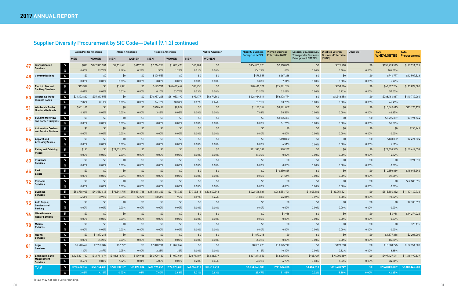## Supplier Diversity Procurement by SIC Code—Detail (9.1.2) continued

|    |                                              |               | <b>Asian Pacific American</b> | African American |              | <b>Hispanic American</b> |               |              | <b>Native American</b> | <b>Minority Business</b><br>Enterprise (MBE) | <b>Women Business</b><br><b>Enterprise (WBE)</b> | Lesbian, Gay, Bisexual,                                   | <b>Disabled Veteran</b>              | Other 8(a) | <b>Total</b>      | <b>Total</b>    |
|----|----------------------------------------------|---------------|-------------------------------|------------------|--------------|--------------------------|---------------|--------------|------------------------|----------------------------------------------|--------------------------------------------------|-----------------------------------------------------------|--------------------------------------|------------|-------------------|-----------------|
|    |                                              | <b>MEN</b>    | <b>WOMEN</b>                  | <b>MEN</b>       | <b>WOMEN</b> | <b>MEN</b>               | <b>WOMEN</b>  | <b>MEN</b>   | <b>WOMEN</b>           |                                              |                                                  | <b>Transgender Business</b><br><b>Enterprise (LGBTBE)</b> | <b>Business Enterprise</b><br>(DVBE) |            | <b>WMDVLGBTBE</b> | Procurement     |
| 47 | $\mathbf{s}$<br><b>Transportation</b>        | \$836         | \$147,321,331                 | \$2,191,441      | \$417,939    | \$2,216,268              | \$1,839,678   | \$16,281     | \$0                    | \$154,003,775                                | \$2,118,060                                      | \$0                                                       | \$591,710                            | \$0        | \$156,713,545     | \$147,711,021   |
|    | <b>Services</b><br>$\%$                      | 0.00%         | 99.74%                        | 1.48%            | 0.28%        | 1.50%                    | 1.25%         | 0.01%        | $0.00\%$               | 104.26%                                      | 1.43%                                            | 0.00%                                                     | 0.40%                                | $0.00\%$   | 106.09%           |                 |
| 48 | $\ddot{\bullet}$<br><b>Communications</b>    | \$0           | \$0                           | \$0              | \$0          | \$479,559                | \$0           | \$0          | \$0                    | \$479,559                                    | \$267,218                                        | \$0                                                       | \$0                                  | \$0        | \$746,777         | \$12,507,523    |
|    | $\%$                                         | 0.00%         | $0.00\%$                      | $0.00\%$         | 0.00%        | 3.83%                    | $0.00\%$      | $0.00\%$     | $0.00\%$               | 3.83%                                        | 2.14%                                            | 0.00%                                                     | $0.00\%$                             | $0.00\%$   | 5.97%             |                 |
| 49 | $\frac{1}{2}$<br><b>Electric, Gas and</b>    | \$15,392      | \$0                           | \$15,321         | \$0          | \$123,741                | \$40,447,462  | \$38,455     | \$0                    | \$40,640,371                                 | \$26,871,986                                     | \$0                                                       | \$859,876                            | \$0        | \$68,372,234      | \$119,879,380   |
|    | <b>Sanitary Services</b><br>$\%$             | 0.01%         | $0.00\%$                      | 0.01%            | 0.00%        | 0.10%                    | 33.74%        | 0.03%        | 0.00%                  | 33.90%                                       | 22.42%                                           | 0.00%                                                     | 0.72%                                | 0.00%      | 57.03%            |                 |
| 50 | $\frac{1}{2}$<br><b>Wholesale Trade-</b>     | \$31,172,822  | \$35,813,555                  | \$0              | \$0          | \$70,957,208             | \$81,053,190  | \$93,179     | \$9,874,960            | \$228,964,914                                | \$58,178,794                                     | \$0                                                       | \$1,343,158                          | \$0        | \$288,486,867     | \$440,742,080   |
|    | <b>Durable Goods</b><br>$\%$                 | 7.07%         | 8.13%                         | $0.00\%$         | 0.00%        | 16.10%                   | 18.39%        | 0.02%        | 2.24%                  | 51.95%                                       | 13.20%                                           | 0.00%                                                     | 0.30%                                | $0.00\%$   | 65.45%            |                 |
| 51 | $\boldsymbol{\$}$<br>Wholesale Trade-        | \$661,101     | \$0                           | \$0              | \$0          | \$518,429                | \$8,027       | \$0          | \$0                    | \$1,187,557                                  | \$8,881,857                                      | \$0                                                       | \$0                                  | \$0        | \$10,069,415      | \$15,176,178    |
|    | <b>Nondurable Goods</b><br>$\%$              | 4.36%         | $0.00\%$                      | 0.00%            | $0.00\%$     | 3.42%                    | 0.05%         | 0.00%        | 0.00%                  | 7.83%                                        | 58.52%                                           | 0.00%                                                     | $0.00\%$                             | $0.00\%$   | 66.35%            |                 |
| 52 | \$<br><b>Building Materials</b>              | \$0           | \$0                           | \$0              | \$0          | \$0                      | \$0           | \$0          | \$0                    | \$0                                          | \$3,995,357                                      | \$0                                                       | \$0                                  | \$0        | \$3,995,357       | \$7,794,664     |
|    | and Garden Supplies<br>$\%$                  | 0.00%         | $0.00\%$                      | 0.00%            | 0.00%        | $0.00\%$                 | 0.00%         | $0.00\%$     | 0.00%                  | $0.00\%$                                     | 51.26%                                           | 0.00%                                                     | $0.00\%$                             | $0.00\%$   | 51.26%            |                 |
|    | $\frac{1}{2}$<br><b>Automotive Dealers</b>   | \$0           | \$0                           | \$0              | \$0          | \$0                      | \$0           | \$0          | \$0                    | \$0                                          | \$0                                              | \$0                                                       | \$0                                  | \$0        | \$0               | \$154,741       |
|    | and Service Stations<br>$\%$                 | 0.00%         | $0.00\%$                      | 0.00%            | 0.00%        | $0.00\%$                 | 0.00%         | 0.00%        | $0.00\%$               | $0.00\%$                                     | 0.00%                                            | 0.00%                                                     | $0.00\%$                             | 0.00%      | $0.00\%$          |                 |
| 56 | $\frac{1}{2}$<br>Apparel and                 | \$0           | \$0                           | \$0              | \$0          | \$0                      | \$0           | \$0          | \$0                    | \$0                                          | \$160,882                                        | \$0                                                       | \$0                                  | \$0        | \$160,882         | \$2,471,524     |
|    | <b>Accessory Stores</b><br>$\%$              | 0.00%         | 0.00%                         | 0.00%            | 0.00%        | $0.00\%$                 | $0.00\%$      | 0.00%        | 0.00%                  | $0.00\%$                                     | 6.51%                                            | 0.00%                                                     | $0.00\%$                             | 0.00%      | 6.51%             |                 |
| 58 | $\frac{2}{3}$<br><b>Eating and Drinking</b>  | \$133         | \$0                           | \$21,391,255     | \$0          | \$0                      | \$0           | \$0          | \$0                    | \$21,391,388                                 | \$28,947                                         | \$0                                                       | \$0                                  | \$0        | \$21,420,335      | \$150,617,559   |
|    | <b>Places</b><br>$\%$                        | 0.00%         | 0.00%                         | 14.20%           | 0.00%        | $0.00\%$                 | $0.00\%$      | 0.00%        | $0.00\%$               | 14.20%                                       | 0.02%                                            | 0.00%                                                     | $0.00\%$                             | $0.00\%$   | 14.22%            |                 |
| 63 | $\frac{1}{2}$<br>Insurance                   | \$0           | \$0                           | \$0              | \$0          | \$0                      | \$0           | \$0          | \$0                    | \$0                                          | \$0                                              | \$0                                                       | \$0                                  | \$0        | \$0               | \$794,373       |
|    | Carriers<br>$\%$                             | 0.00%         | $0.00\%$                      | $0.00\%$         | 0.00%        | $0.00\%$                 | $0.00\%$      | $0.00\%$     | 0.00%                  | $0.00\%$                                     | $0.00\%$                                         | 0.00%                                                     | $0.00\%$                             | 0.00%      | $0.00\%$          |                 |
| 65 | $\frac{1}{2}$<br>Real                        | \$0           | \$0                           | \$0              | \$0          | \$0                      | \$0           | \$0          | \$0                    | \$0                                          | \$10,350,869                                     | \$0                                                       | \$0                                  | \$0        | \$10,350,869      | \$48,018,392    |
|    | <b>Estate</b><br>$\%$                        | 0.00%         | $0.00\%$                      | 0.00%            | 0.00%        | $0.00\%$                 | $0.00\%$      | 0.00%        | 0.00%                  | $0.00\%$                                     | 21.56%                                           | 0.00%                                                     | $0.00\%$                             | $0.00\%$   | 21.56%            |                 |
|    | $\frac{4}{5}$<br><b>Personal</b>             | \$0           | \$0                           | \$0              | \$0          | \$0                      | \$0           | \$0          | \$0                    | \$0                                          | \$0                                              | \$0                                                       | \$0                                  | \$0        | \$0               | \$52,580,395    |
|    | <b>Services</b><br>$\%$                      | 0.00%         | 0.00%                         | 0.00%            | 0.00%        | 0.00%                    | 0.00%         | $0.00\%$     | 0.00%                  | $0.00\%$                                     | $0.00\%$                                         | 0.00%                                                     | 0.00%                                | 0.00%      | 0.00%             |                 |
|    | $\frac{1}{2}$<br><b>Business</b>             | \$50,758,969  | \$44,583,648                  | \$73,541,715     | \$58,891,788 | 151,316,323<br>\$.       | \$21,751,723  | \$7,743,811  | \$13,860,948           | \$422,448,924                                | \$268,554,701                                    | \$1,049,186                                               | \$123,751,521                        | \$0        | \$815,804,332     | \$1,117,160,732 |
|    | <b>Services</b><br>$\%$                      | 4.54%         | 3.99%                         | 6.58%            | 5.27%        | 13.54%                   | 1.95%         | 0.69%        | 1.24%                  | 37.81%                                       | 24.04%                                           | 0.09%                                                     | 11.08%                               | 0.00%      | 73.02%            |                 |
|    | $\frac{1}{2}$<br><b>Auto Repair,</b>         | \$0           | \$0                           | \$0              | \$0          | \$0                      | \$0           | \$0          | \$0                    | \$0                                          | \$0                                              | \$0                                                       | \$0                                  | \$0        | \$0               | \$2,180,597     |
|    | <b>Services and</b><br>$\%$<br>Parking       | 0.00%         | 0.00%                         | $0.00\%$         | 0.00%        | $0.00\%$                 | $0.00\%$      | 0.00%        | 0.00%                  | $0.00\%$                                     | 0.00%                                            | 0.00%                                                     | $0.00\%$                             | 0.00%      | $0.00\%$          |                 |
| 76 | $\frac{4}{5}$<br><b>Miscellaneous</b>        | \$0           | \$0                           | \$0              | \$0          | \$0                      | \$0           | \$0          | \$0                    | \$0                                          | \$4,986                                          | \$0                                                       | \$0                                  | \$0        | \$4,986           | \$14,274,022    |
|    | Repair Services<br>$\%$                      | $0.00\%$      | $0.00\%$                      | 0.00%            | $0.00\%$     | $0.00\%$                 | $0.00\%$      | $0.00\%$     | $0.00\%$               | $0.00\%$                                     | 0.03%                                            | $0.00\%$                                                  | $0.00\%$                             | $0.00\%$   | 0.03%             |                 |
|    | $\frac{1}{2}$<br>Motion                      | \$0           | \$0                           | \$0              | \$0          | \$0                      | \$0           | \$0          | \$0                    | \$0                                          | \$0                                              | \$0                                                       | \$0                                  | \$0        | \$0               | \$25,115        |
|    | <b>Pictures</b><br>$\%$                      | $0.00\%$      | $0.00\%$                      | $0.00\%$         | $0.00\%$     | $0.00\%$                 | $0.00\%$      | $0.00\%$     | $0.00\%$               | $0.00\%$                                     | $0.00\%$                                         | $0.00\%$                                                  | $0.00\%$                             | $0.00\%$   | $0.00\%$          |                 |
| 80 | $\frac{1}{2}$<br>Health                      | \$0           | \$1,877,218                   | \$0              | \$0          | \$0                      | \$0           | \$0          | \$0                    | \$1,877,218                                  | \$0                                              | \$0                                                       | \$0                                  | \$0        | \$1,877,218       | \$2,201,000     |
|    | <b>Services</b><br>$\%$                      | 0.00%         | 85.29%                        | $0.00\%$         | $0.00\%$     | $0.00\%$                 | $0.00\%$      | $0.00\%$     | $0.00\%$               | 85.29%                                       | $0.00\%$                                         | $0.00\%$                                                  | $0.00\%$                             | $0.00\%$   | 85.29%            |                 |
|    | $\frac{4}{3}$<br>Legal                       | \$1,648,659   | \$2,950,389                   | \$52,299         | \$0          | \$2,340,711              | \$1,397,242   | \$0          | \$0                    | \$8,389,298                                  | \$10,375,747                                     | \$0                                                       | \$123,250                            | \$0        | \$18,888,295      | \$102,751,000   |
| 81 | <b>Services</b><br>$\%$                      | 1.60%         | 2.87%                         | 0.05%            | $0.00\%$     | 2.28%                    | 1.36%         | $0.00\%$     | $0.00\%$               | 8.16%                                        | 10.10%                                           | 0.00%                                                     | 0.12%                                | $0.00\%$   | 18.38%            |                 |
| 87 | $\frac{1}{2}$<br><b>Engineering and</b>      | \$125,271,107 | \$12,711,674                  | \$101,613,734    | \$139,938    | \$86,979,430             | \$1,077,984   | \$2,871,107  | \$6,626,977            | \$337,291,952                                | \$68,025,873                                     | \$405,427                                                 | \$91,704,389                         | \$0        | \$497,427,641     | \$1,448,492,839 |
|    | <b>Management</b><br>$\%$<br><b>Services</b> | 8.65%         | 0.88%                         | 7.02%            | 0.01%        | $6.00\%$                 | 0.07%         | 0.20%        | 0.46%                  | 23.29%                                       | 4.70%                                            | 0.03%                                                     | 6.33%                                | $0.00\%$   | 34.34%            |                 |
|    | $\frac{4}{5}$<br><b>Total</b>                | \$223,682,769 | \$250,154,435                 | \$270,180,129    | \$61,875,084 | \$475,971,256            | \$172,628,433 | \$61,656,110 | \$38,219,918           | \$1,554,368,133                              | \$711,534,335                                    | \$1,454,613                                               | \$311,478,747                        | \$0        | \$2,578,835,827   | \$6,103,446,588 |
|    | $\%$                                         | 3.66%         | 4.10%                         | 4.43%            | 1.01%        | 7.80%                    | 2.83%         | 1.01%        | 0.63%                  | 25.47%                                       | 11.66%                                           | 0.02%                                                     | 5.10%                                | $0.00\%$   | 42.25%            |                 |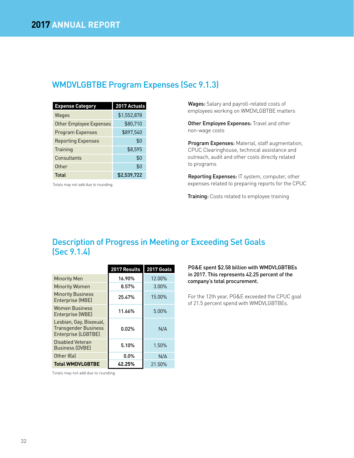## WMDVLGBTBE Program Expenses (Sec 9.1.3)

| <b>Expense Category</b>   | 2017 Actuals |
|---------------------------|--------------|
| Wages                     | \$1,552,878  |
| Other Employee Expenses   | \$80,710     |
| <b>Program Expenses</b>   | \$897,540    |
| <b>Reporting Expenses</b> | \$0          |
| Training                  | \$8.595      |
| Consultants               | \$0          |
| Other                     | \$0          |
| <b>Total</b>              | \$2,539,722  |

Totals may not add due to rounding.

Wages: Salary and payroll-related costs of employees working on WMDVLGBTBE matters

Other Employee Expenses: Travel and other non-wage costs

Program Expenses: Material, staff augmentation, CPUC Clearinghouse, technical assistance and outreach, audit and other costs directly related to programs

Reporting Expenses: IT system, computer, other expenses related to preparing reports for the CPUC

**Training:** Costs related to employee training

## Description of Progress in Meeting or Exceeding Set Goals (Sec 9.1.4)

|                                                                               | 2017 Results | <b>2017 Goals</b> |
|-------------------------------------------------------------------------------|--------------|-------------------|
| <b>Minority Men</b>                                                           | 16.90%       | 12.00%            |
| <b>Minority Women</b>                                                         | 8.57%        | 3.00%             |
| <b>Minority Business</b><br>Enterprise (MBE)                                  | 25.47%       | 15.00%            |
| <b>Women Business</b><br>Enterprise (WBE)                                     | 11.66%       | 5.00%             |
| Lesbian, Gay, Bisexual,<br><b>Transgender Business</b><br>Enterprise (LGBTBE) | 0.02%        | N/A               |
| Disabled Veteran<br><b>Business (DVBE)</b>                                    | 5.10%        | 1.50%             |
| Other 8(a)                                                                    | $0.0\%$      | N/A               |
| <b>Total WMDVLGBTBE</b>                                                       | 42.25%       | 21.50%            |

PG&E spent \$2.58 billion with WMDVLGBTBEs in 2017. This represents 42.25 percent of the company's total procurement.

For the 12th year, PG&E exceeded the CPUC goal of 21.5 percent spend with WMDVLGBTBEs.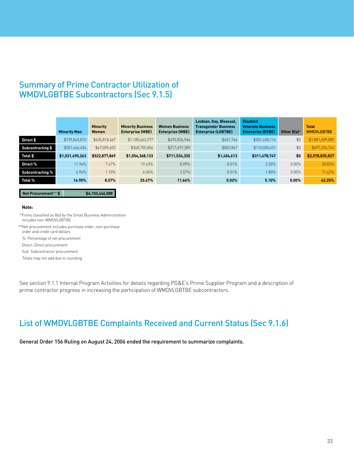## Summary of Prime Contractor Utilization of WMDVLGBTBE Subcontractors (Sec 9.1.5)

|                   | <b>Minority Men</b> | <b>Minority</b><br>Women | <b>Minority Business</b><br><b>Enterprise (MBE)</b> | <b>Women Business</b><br><b>Enterprise (WBE)</b> | Lesbian, Gay, Bisexual,<br><b>Transgender Business</b><br><b>Enterprise (LGBTBE)</b> | <b>Disabled</b><br><b>Veterans Business</b><br><b>Enterprise (DVBE)</b> | Other $8(a)*$ | <b>Total</b><br><b>WMDVLGBTBE</b> |
|-------------------|---------------------|--------------------------|-----------------------------------------------------|--------------------------------------------------|--------------------------------------------------------------------------------------|-------------------------------------------------------------------------|---------------|-----------------------------------|
| Direct \$         | \$729,843,810       | \$455,818,467            | \$1,185,662,277                                     | \$493,836,946                                    | \$651,746                                                                            | \$201,458,116                                                           | \$0           | \$1,881,609,085                   |
| Subcontracting \$ | \$301,646,454       | \$67,059,402             | \$368,705,856                                       | \$217,697,389                                    | \$802,867                                                                            | \$110,020,631                                                           | \$0           | \$697,226,743                     |
| Total \$          | \$1,031,490,263     | \$522,877,869            | \$1,554,368,133                                     | \$711,534,335                                    | \$1,454,613                                                                          | \$311,478,747                                                           | \$0           | \$2,578,835,827                   |
| Direct %          | 11.96%              | 7.47%                    | 19.43%                                              | 8.09%                                            | 0.01%                                                                                | 3.30%                                                                   | $0.00\%$      | 30.83%                            |
| Subcontracting %  | 4.94%               | 1.10%                    | 6.04%                                               | 3.57%                                            | $0.01\%$                                                                             | $.80\%$                                                                 | $0.00\%$      | 11.42%                            |
| Total %           | 16.90%              | 8.57%                    | 25.47%                                              | 11.66%                                           | $0.02\%$                                                                             | 5.10%                                                                   | $0.00\%$      | 42.25%                            |

**Net Procurement**\*\* **\$ \$6,103,446,588** 

#### **Note:**

\*Firms classified as 8(a) by the Small Business Administration includes non-WMDVLGBTBE

\*\*Net procurement includes purchase order, non-purchase order and credit card dollars

%: Percentage of net procurement

Direct: Direct procurement

Sub: Subcontractor procurement

Totals may not add due to rounding.

See section 9.1.1 Internal Program Activities for details regarding PG&E's Prime Supplier Program and a description of prime contractor progress in increasing the participation of WMDVLGBTBE subcontractors.

## List of WMDVLGBTBE Complaints Received and Current Status (Sec 9.1.6)

General Order 156 Ruling on August 24, 2006 ended the requirement to summarize complaints.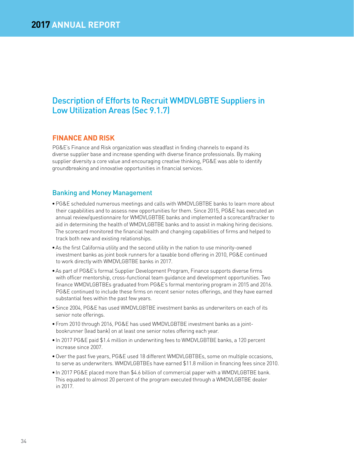## Description of Efforts to Recruit WMDVLGBTE Suppliers in Low Utilization Areas (Sec 9.1.7)

## **FINANCE AND RISK**

PG&E's Finance and Risk organization was steadfast in finding channels to expand its diverse supplier base and increase spending with diverse finance professionals. By making supplier diversity a core value and encouraging creative thinking, PG&E was able to identify groundbreaking and innovative opportunities in financial services.

## Banking and Money Management

- PG&E scheduled numerous meetings and calls with WMDVLGBTBE banks to learn more about their capabilities and to assess new opportunities for them. Since 2015, PG&E has executed an annual review/questionnaire for WMDVLGBTBE banks and implemented a scorecard/tracker to aid in determining the health of WMDVLGBTBE banks and to assist in making hiring decisions. The scorecard monitored the financial health and changing capabilities of firms and helped to track both new and existing relationships.
- As the first California utility and the second utility in the nation to use minority-owned investment banks as joint book runners for a taxable bond offering in 2010, PG&E continued to work directly with WMDVLGBTBE banks in 2017.
- As part of PG&E's formal Supplier Development Program, Finance supports diverse firms with officer mentorship, cross-functional team guidance and development opportunities. Two finance WMDVLGBTBEs graduated from PG&E's formal mentoring program in 2015 and 2016. PG&E continued to include these firms on recent senior notes offerings, and they have earned substantial fees within the past few years.
- Since 2004, PG&E has used WMDVLGBTBE investment banks as underwriters on each of its senior note offerings.
- From 2010 through 2016, PG&E has used WMDVLGBTBE investment banks as a jointbookrunner (lead bank) on at least one senior notes offering each year.
- In 2017 PG&E paid \$1.4 million in underwriting fees to WMDVLGBTBE banks, a 120 percent increase since 2007.
- Over the past five years, PG&E used 18 different WMDVLGBTBEs, some on multiple occasions, to serve as underwriters. WMDVLGBTBEs have earned \$11.8 million in financing fees since 2010.
- In 2017 PG&E placed more than \$4.6 billion of commercial paper with a WMDVLGBTBE bank. This equated to almost 20 percent of the program executed through a WMDVLGBTBE dealer in 2017.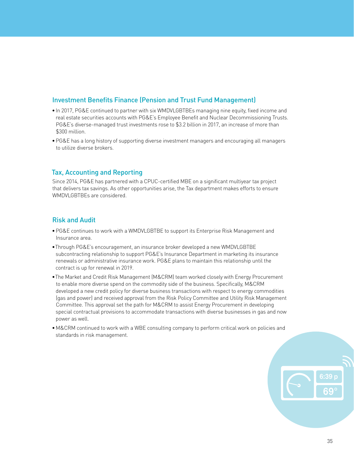## Investment Benefits Finance (Pension and Trust Fund Management)

- In 2017, PG&E continued to partner with six WMDVLGBTBEs managing nine equity, fixed income and real estate securities accounts with PG&E's Employee Benefit and Nuclear Decommissioning Trusts. PG&E's diverse-managed trust investments rose to \$3.2 billion in 2017, an increase of more than \$300 million.
- PG&E has a long history of supporting diverse investment managers and encouraging all managers to utilize diverse brokers.

## Tax, Accounting and Reporting

Since 2014, PG&E has partnered with a CPUC-certified MBE on a significant multiyear tax project that delivers tax savings. As other opportunities arise, the Tax department makes efforts to ensure WMDVLGBTBEs are considered.

## Risk and Audit

- PG&E continues to work with a WMDVLGBTBE to support its Enterprise Risk Management and Insurance area.
- Through PG&E's encouragement, an insurance broker developed a new WMDVLGBTBE subcontracting relationship to support PG&E's Insurance Department in marketing its insurance renewals or administrative insurance work. PG&E plans to maintain this relationship until the contract is up for renewal in 2019.
- The Market and Credit Risk Management (M&CRM) team worked closely with Energy Procurement to enable more diverse spend on the commodity side of the business. Specifically, M&CRM developed a new credit policy for diverse business transactions with respect to energy commodities (gas and power) and received approval from the Risk Policy Committee and Utility Risk Management Committee. This approval set the path for M&CRM to assist Energy Procurement in developing special contractual provisions to accommodate transactions with diverse businesses in gas and now power as well.
- M&CRM continued to work with a WBE consulting company to perform critical work on policies and standards in risk management.

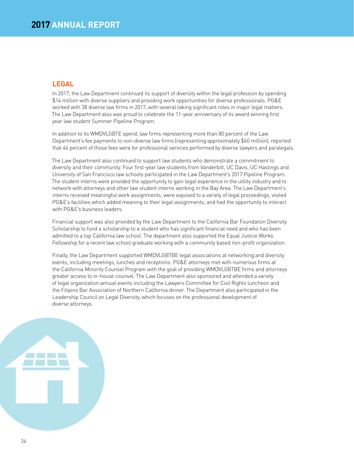## **LEGAL**

In 2017, the Law Department continued its support of diversity within the legal profession by spending \$14 million with diverse suppliers and providing work opportunities for diverse professionals. PG&E worked with 38 diverse law firms in 2017, with several taking significant roles in major legal matters. The Law Department also was proud to celebrate the 11-year anniversary of its award winning first year law student Summer Pipeline Program.

In addition to its WMDVLGBTE spend, law firms representing more than 80 percent of the Law Department's fee payments to non-diverse law firms (representing approximately \$60 million), reported that 46 percent of those fees were for professional services performed by diverse lawyers and paralegals.

The Law Department also continued to support law students who demonstrate a commitment to diversity and their community. Four first-year law students from Vanderbilt, UC Davis, UC Hastings and University of San Francisco law schools participated in the Law Department's 2017 Pipeline Program. The student interns were provided the opportunity to gain legal experience in the utility industry and to network with attorneys and other law student interns working in the Bay Area. The Law Department's interns received meaningful work assignments, were exposed to a variety of legal proceedings, visited PG&E's facilities which added meaning to their legal assignments, and had the opportunity to interact with PG&E's business leaders.

Financial support was also provided by the Law Department to the California Bar Foundation Diversity Scholarship to fund a scholarship to a student who has significant financial need and who has been admitted to a top California law school. The department also supported the Equal Justice Works Fellowship for a recent law school graduate working with a community based non-profit organization.

Finally, the Law Department supported WMDVLGBTBE legal associations at networking and diversity events, including meetings, lunches and receptions. PG&E attorneys met with numerous firms at the California Minority Counsel Program with the goal of providing WMDVLGBTBE firms and attorneys greater access to in-house counsel. The Law Department also sponsored and attended a variety of legal organization annual events including the Lawyers Committee for Civil Rights luncheon and the Filipino Bar Association of Northern California dinner. The Department also participated in the Leadership Council on Legal Diversity, which focuses on the professional development of diverse attorneys.

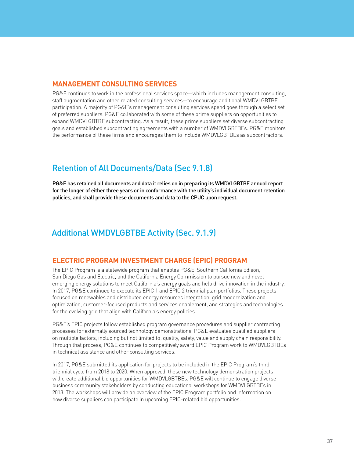## **MANAGEMENT CONSULTING SERVICES**

PG&E continues to work in the professional services space—which includes management consulting, staff augmentation and other related consulting services—to encourage additional WMDVLGBTBE participation. A majority of PG&E's management consulting services spend goes through a select set of preferred suppliers. PG&E collaborated with some of these prime suppliers on opportunities to expand WMDVLGBTBE subcontracting. As a result, these prime suppliers set diverse subcontracting goals and established subcontracting agreements with a number of WMDVLGBTBEs. PG&E monitors the performance of these firms and encourages them to include WMDVLGBTBEs as subcontractors.

## Retention of All Documents/Data (Sec 9.1.8)

PG&E has retained all documents and data it relies on in preparing its WMDVLGBTBE annual report for the longer of either three years or in conformance with the utility's individual document retention policies, and shall provide these documents and data to the CPUC upon request.

## Additional WMDVLGBTBE Activity (Sec. 9.1.9)

## **ELECTRIC PROGRAM INVESTMENT CHARGE (EPIC) PROGRAM**

The EPIC Program is a statewide program that enables PG&E, Southern California Edison, San Diego Gas and Electric, and the California Energy Commission to pursue new and novel emerging energy solutions to meet California's energy goals and help drive innovation in the industry. In 2017, PG&E continued to execute its EPIC 1 and EPIC 2 triennial plan portfolios. These projects focused on renewables and distributed energy resources integration, grid modernization and optimization, customer-focused products and services enablement, and strategies and technologies for the evolving grid that align with California's energy policies.

PG&E's EPIC projects follow established program governance procedures and supplier contracting processes for externally sourced technology demonstrations. PG&E evaluates qualified suppliers on multiple factors, including but not limited to: quality, safety, value and supply chain responsibility. Through that process, PG&E continues to competitively award EPIC Program work to WMDVLGBTBEs in technical assistance and other consulting services.

In 2017, PG&E submitted its application for projects to be included in the EPIC Program's third triennial cycle from 2018 to 2020. When approved, these new technology demonstration projects will create additional bid opportunities for WMDVLGBTBEs. PG&E will continue to engage diverse business community stakeholders by conducting educational workshops for WMDVLGBTBEs in 2018. The workshops will provide an overview of the EPIC Program portfolio and information on how diverse suppliers can participate in upcoming EPIC-related bid opportunities.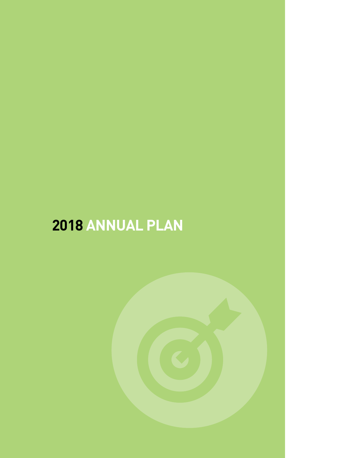# **ANNUAL PLAN**

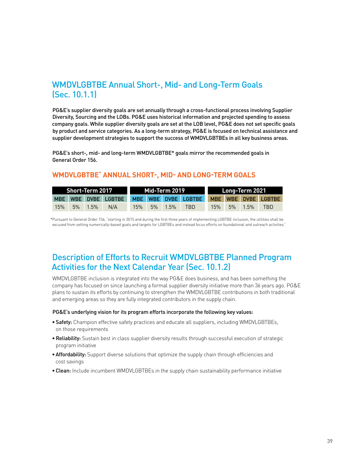## WMDVLGBTBE Annual Short-, Mid- and Long-Term Goals (Sec. 10.1.1)

PG&E's supplier diversity goals are set annually through a cross-functional process involving Supplier Diversity, Sourcing and the LOBs. PG&E uses historical information and projected spending to assess company goals. While supplier diversity goals are set at the LOB level, PG&E does not set specific goals by product and service categories. As a long-term strategy, PG&E is focused on technical assistance and supplier development strategies to support the success of WMDVLGBTBEs in all key business areas.

PG&E's short-, mid- and long-term WMDVLGBTBE\* goals mirror the recommended goals in General Order 156.

## **WMDVLGBTBE**\* **ANNUAL SHORT-, MID- AND LONG-TERM GOALS**

|     | Short-Term 2017 |                                                             |  | Mid-Term 2019     |     |  | Long-Term 2021    |      |
|-----|-----------------|-------------------------------------------------------------|--|-------------------|-----|--|-------------------|------|
|     |                 | MBE WBE DVBE LGBTBE MBE WBE DVBE LGBTBE MBE WBE DVBE LGBTBE |  |                   |     |  |                   |      |
| 15% | 5% 1.5% N/A     |                                                             |  | $15\%$ 5% $1.5\%$ | TBD |  | $15\%$ 5% $1.5\%$ | TRD. |

\*Pursuant to General Order 156, "starting in 2015 and during the first three years of implementing LGBTBE inclusion, the utilities shall be excused from setting numerically-based goals and targets for LGBTBEs and instead focus efforts on foundational and outreach activities."

## Description of Efforts to Recruit WMDVLGBTBE Planned Program Activities for the Next Calendar Year (Sec. 10.1.2)

WMDVLGBTBE inclusion is integrated into the way PG&E does business, and has been something the company has focused on since launching a formal supplier diversity initiative more than 36 years ago. PG&E plans to sustain its efforts by continuing to strengthen the WMDVLGBTBE contributions in both traditional and emerging areas so they are fully integrated contributors in the supply chain.

#### PG&E's underlying vision for its program efforts incorporate the following key values:

- Safety: Champion effective safety practices and educate all suppliers, including WMDVLGBTBEs, on those requirements
- Reliability: Sustain best in class supplier diversity results through successful execution of strategic program initiative
- Affordability: Support diverse solutions that optimize the supply chain through efficiencies and cost savings
- Clean: Include incumbent WMDVLGBTBEs in the supply chain sustainability performance initiative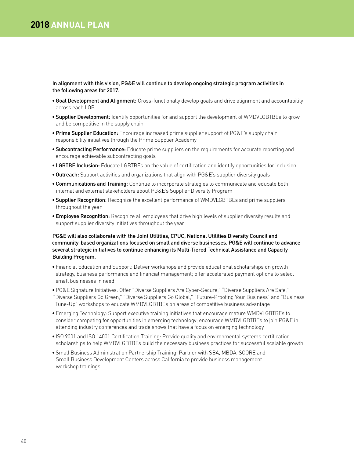## **2018 ANNUAL PLAN**

In alignment with this vision, PG&E will continue to develop ongoing strategic program activities in the following areas for 2017.

- Goal Development and Alignment: Cross-functionally develop goals and drive alignment and accountability across each LOB
- Supplier Development: Identify opportunities for and support the development of WMDVLGBTBEs to grow and be competitive in the supply chain
- Prime Supplier Education: Encourage increased prime supplier support of PG&E's supply chain responsibility initiatives through the Prime Supplier Academy
- Subcontracting Performance: Educate prime suppliers on the requirements for accurate reporting and encourage achievable subcontracting goals
- LGBTBE Inclusion: Educate LGBTBEs on the value of certification and identify opportunities for inclusion
- Outreach: Support activities and organizations that align with PG&E's supplier diversity goals
- Communications and Training: Continue to incorporate strategies to communicate and educate both internal and external stakeholders about PG&E's Supplier Diversity Program
- Supplier Recognition: Recognize the excellent performance of WMDVLGBTBEs and prime suppliers throughout the year
- Employee Recognition: Recognize all employees that drive high levels of supplier diversity results and support supplier diversity initiatives throughout the year

#### PG&E will also collaborate with the Joint Utilities, CPUC, National Utilities Diversity Council and community-based organizations focused on small and diverse businesses. PG&E will continue to advance several strategic initiatives to continue enhancing its Multi-Tiered Technical Assistance and Capacity Building Program.

- Financial Education and Support: Deliver workshops and provide educational scholarships on growth strategy, business performance and financial management; offer accelerated payment options to select small businesses in need
- PG&E Signature Initiatives: Offer "Diverse Suppliers Are Cyber-Secure," "Diverse Suppliers Are Safe," "Diverse Suppliers Go Green," "Diverse Suppliers Go Global," "Future-Proofing Your Business" and "Business Tune-Up" workshops to educate WMDVLGBTBEs on areas of competitive business advantage
- Emerging Technology: Support executive training initiatives that encourage mature WMDVLGBTBEs to consider competing for opportunities in emerging technology; encourage WMDVLGBTBEs to join PG&E in attending industry conferences and trade shows that have a focus on emerging technology
- ISO 9001 and ISO 14001 Certification Training: Provide quality and environmental systems certification scholarships to help WMDVLGBTBEs build the necessary business practices for successful scalable growth
- Small Business Administration Partnership Training: Partner with SBA, MBDA, SCORE and Small Business Development Centers across California to provide business management workshop trainings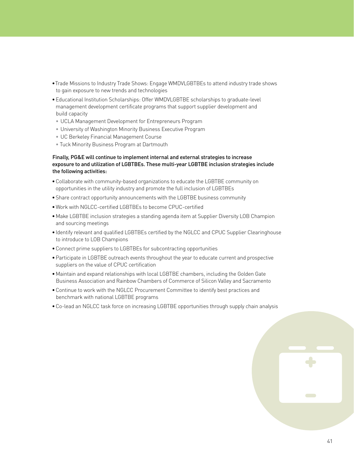- Trade Missions to Industry Trade Shows: Engage WMDVLGBTBEs to attend industry trade shows to gain exposure to new trends and technologies
- Educational Institution Scholarships: Offer WMDVLGBTBE scholarships to graduate-level management development certificate programs that support supplier development and build capacity
- UCLA Management Development for Entrepreneurs Program
- University of Washington Minority Business Executive Program
- UC Berkeley Financial Management Course
- Tuck Minority Business Program at Dartmouth

#### Finally, PG&E will continue to implement internal and external strategies to increase exposure to and utilization of LGBTBEs. These multi-year LGBTBE inclusion strategies include the following activities:

- Collaborate with community-based organizations to educate the LGBTBE community on opportunities in the utility industry and promote the full inclusion of LGBTBEs
- Share contract opportunity announcements with the LGBTBE business community
- Work with NGLCC-certified LGBTBEs to become CPUC-certified
- Make LGBTBE inclusion strategies a standing agenda item at Supplier Diversity LOB Champion and sourcing meetings
- Identify relevant and qualified LGBTBEs certified by the NGLCC and CPUC Supplier Clearinghouse to introduce to LOB Champions
- Connect prime suppliers to LGBTBEs for subcontracting opportunities
- Participate in LGBTBE outreach events throughout the year to educate current and prospective suppliers on the value of CPUC certification
- Maintain and expand relationships with local LGBTBE chambers, including the Golden Gate Business Association and Rainbow Chambers of Commerce of Silicon Valley and Sacramento
- Continue to work with the NGLCC Procurement Committee to identify best practices and benchmark with national LGBTBE programs
- Co-lead an NGLCC task force on increasing LGBTBE opportunities through supply chain analysis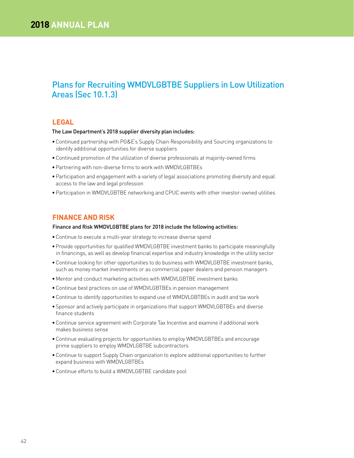## Plans for Recruiting WMDVLGBTBE Suppliers in Low Utilization Areas (Sec 10.1.3)

## **LEGAL**

#### The Law Department's 2018 supplier diversity plan includes:

- Continued partnership with PG&E's Supply Chain Responsibility and Sourcing organizations to identify additional opportunities for diverse suppliers
- Continued promotion of the utilization of diverse professionals at majority-owned firms
- Partnering with non-diverse firms to work with WMDVLGBTBEs
- Participation and engagement with a variety of legal associations promoting diversity and equal access to the law and legal profession
- Participation in WMDVLGBTBE networking and CPUC events with other investor-owned utilities

## **FINANCE AND RISK**

#### Finance and Risk WMDVLGBTBE plans for 2018 include the following activities:

- Continue to execute a multi-year strategy to increase diverse spend
- Provide opportunities for qualified WMDVLGBTBE investment banks to participate meaningfully in financings, as well as develop financial expertise and industry knowledge in the utility sector
- Continue looking for other opportunities to do business with WMDVLGBTBE investment banks, such as money market investments or as commercial paper dealers and pension managers
- Mentor and conduct marketing activities with WMDVLGBTBE investment banks
- Continue best practices on use of WMDVLGBTBEs in pension management
- Continue to identify opportunities to expand use of WMDVLGBTBEs in audit and tax work
- Sponsor and actively participate in organizations that support WMDVLGBTBEs and diverse finance students
- Continue service agreement with Corporate Tax Incentive and examine if additional work makes business sense
- Continue evaluating projects for opportunities to employ WMDVLGBTBEs and encourage prime suppliers to employ WMDVLGBTBE subcontractors
- Continue to support Supply Chain organization to explore additional opportunities to further expand business with WMDVLGBTBEs
- Continue efforts to build a WMDVLGBTBE candidate pool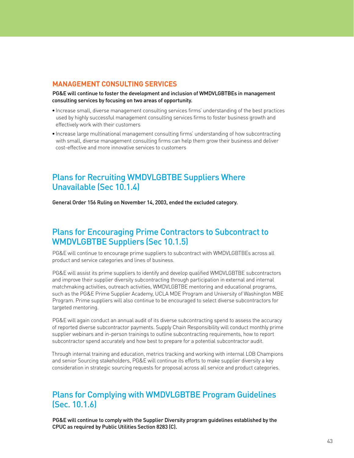## **MANAGEMENT CONSULTING SERVICES**

PG&E will continue to foster the development and inclusion of WMDVLGBTBEs in management consulting services by focusing on two areas of opportunity.

- Increase small, diverse management consulting services firms' understanding of the best practices used by highly successful management consulting services firms to foster business growth and effectively work with their customers
- Increase large multinational management consulting firms' understanding of how subcontracting with small, diverse management consulting firms can help them grow their business and deliver cost-effective and more innovative services to customers

## Plans for Recruiting WMDVLGBTBE Suppliers Where Unavailable (Sec 10.1.4)

General Order 156 Ruling on November 14, 2003, ended the excluded category.

## Plans for Encouraging Prime Contractors to Subcontract to WMDVLGBTBE Suppliers (Sec 10.1.5)

PG&E will continue to encourage prime suppliers to subcontract with WMDVLGBTBEs across all product and service categories and lines of business.

PG&E will assist its prime suppliers to identify and develop qualified WMDVLGBTBE subcontractors and improve their supplier diversity subcontracting through participation in external and internal matchmaking activities, outreach activities, WMDVLGBTBE mentoring and educational programs, such as the PG&E Prime Supplier Academy, UCLA MDE Program and University of Washington MBE Program. Prime suppliers will also continue to be encouraged to select diverse subcontractors for targeted mentoring.

PG&E will again conduct an annual audit of its diverse subcontracting spend to assess the accuracy of reported diverse subcontractor payments. Supply Chain Responsibility will conduct monthly prime supplier webinars and in-person trainings to outline subcontracting requirements, how to report subcontractor spend accurately and how best to prepare for a potential subcontractor audit.

Through internal training and education, metrics tracking and working with internal LOB Champions and senior Sourcing stakeholders, PG&E will continue its efforts to make supplier diversity a key consideration in strategic sourcing requests for proposal across all service and product categories.

## Plans for Complying with WMDVLGBTBE Program Guidelines (Sec. 10.1.6)

PG&E will continue to comply with the Supplier Diversity program guidelines established by the CPUC as required by Public Utilities Section 8283 (C).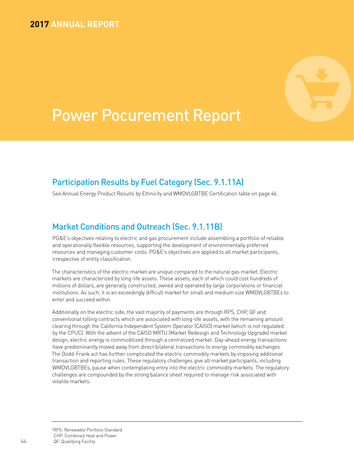## **2017 ANNUAL REPORT**



## Power Pocurement Report

## Participation Results by Fuel Category (Sec. 9.1.11A)

See Annual Energy Product Results by Ethnicity and WMDVLGBTBE Certification table on page 46.

## Market Conditions and Outreach (Sec. 9.1.11B)

PG&E's objectives relating to electric and gas procurement include assembling a portfolio of reliable and operationally flexible resources, supporting the development of environmentally preferred resources and managing customer costs. PG&E's objectives are applied to all market participants, irrespective of entity classification.

The characteristics of the electric market are unique compared to the natural gas market. Electric markets are characterized by long-life assets. These assets, each of which could cost hundreds of millions of dollars, are generally constructed, owned and operated by large corporations or financial institutions. As such, it is an exceedingly difficult market for small and medium size WMDVLGBTBEs to enter and succeed within.

Additionally on the electric side, the vast majority of payments are through RPS, CHP, QF and conventional tolling contracts which are associated with long-life assets, with the remaining amount clearing through the California Independent System Operator (CAISO) market (which is not regulated by the CPUC). With the advent of the CAISO MRTU (Market Redesign and Technology Upgrade) market design, electric energy is commoditized through a centralized market. Day-ahead energy transactions have predominantly moved away from direct bilateral transactions to energy commodity exchanges. The Dodd-Frank act has further complicated the electric commodity markets by imposing additional transaction and reporting rules. These regulatory challenges give all market participants, including WMDVLGBTBEs, pause when contemplating entry into the electric commodity markets. The regulatory challenges are compounded by the strong balance sheet required to manage risk associated with volatile markets.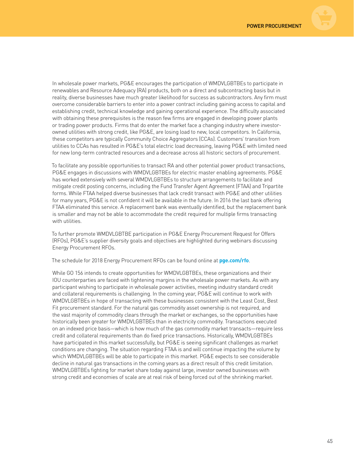

In wholesale power markets, PG&E encourages the participation of WMDVLGBTBEs to participate in renewables and Resource Adequacy (RA) products, both on a direct and subcontracting basis but in reality, diverse businesses have much greater likelihood for success as subcontractors. Any firm must overcome considerable barriers to enter into a power contract including gaining access to capital and establishing credit, technical knowledge and gaining operational experience. The difficulty associated with obtaining these prerequisites is the reason few firms are engaged in developing power plants or trading power products. Firms that do enter the market face a changing industry where investorowned utilities with strong credit, like PG&E, are losing load to new, local competitors. In California, these competitors are typically Community Choice Aggregators (CCAs). Customers' transition from utilities to CCAs has resulted in PG&E's total electric load decreasing, leaving PG&E with limited need for new long-term contracted resources and a decrease across all historic sectors of procurement.

To facilitate any possible opportunities to transact RA and other potential power product transactions, PG&E engages in discussions with WMDVLGBTBEs for electric master enabling agreements. PG&E has worked extensively with several WMDVLGBTBEs to structure arrangements to facilitate and mitigate credit posting concerns, including the Fund Transfer Agent Agreement (FTAA) and Tripartite forms. While FTAA helped diverse businesses that lack credit transact with PG&E and other utilities for many years, PG&E is not confident it will be available in the future. In 2016 the last bank offering FTAA eliminated this service. A replacement bank was eventually identified, but the replacement bank is smaller and may not be able to accommodate the credit required for multiple firms transacting with utilities.

To further promote WMDVLGBTBE participation in PG&E Energy Procurement Request for Offers (RFOs), PG&E's supplier diversity goals and objectives are highlighted during webinars discussing Energy Procurement RFOs.

The schedule for 2018 Energy Procurement RFOs can be found online at **pge.com/rfo**.

While GO 156 intends to create opportunities for WMDVLGBTBEs, these organizations and their IOU counterparties are faced with tightening margins in the wholesale power markets. As with any participant wishing to participate in wholesale power activities, meeting industry standard credit and collateral requirements is challenging. In the coming year, PG&E will continue to work with WMDVLGBTBEs in hope of transacting with these businesses consistent with the Least Cost, Best Fit procurement standard. For the natural gas commodity asset ownership is not required, and the vast majority of commodity clears through the market or exchanges, so the opportunities have historically been greater for WMDVLGBTBEs than in electricity commodity. Transactions executed on an indexed price basis—which is how much of the gas commodity market transacts—require less credit and collateral requirements than do fixed price transactions. Historically, WMDVLGBTBEs have participated in this market successfully, but PG&E is seeing significant challenges as market conditions are changing. The situation regarding FTAA is and will continue impacting the volume by which WMDVLGBTBEs will be able to participate in this market. PG&E expects to see considerable decline in natural gas transactions in the coming years as a direct result of this credit limitation. WMDVLGBTBEs fighting for market share today against large, investor owned businesses with strong credit and economies of scale are at real risk of being forced out of the shrinking market.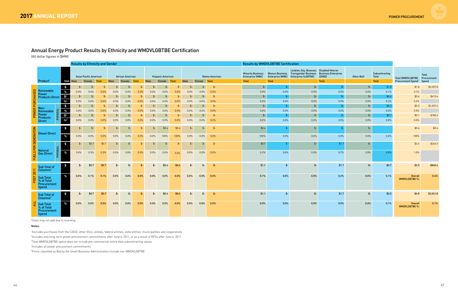## Annual Energy Product Results by Ethnicity and WMDVLGBTBE Certification

(All dollar figures in \$MM)

|                  |                                                               |                            |               | <b>Results by Ethnicity and Gender</b>  |                |         |                                   |                |               |                                    |               |               |               |                        | <b>Results by WMDVLGBTBE Certification</b>                          |                           |                                                                                                                                   |                        |                         |                                  |                                                                      |                |
|------------------|---------------------------------------------------------------|----------------------------|---------------|-----------------------------------------|----------------|---------|-----------------------------------|----------------|---------------|------------------------------------|---------------|---------------|---------------|------------------------|---------------------------------------------------------------------|---------------------------|-----------------------------------------------------------------------------------------------------------------------------------|------------------------|-------------------------|----------------------------------|----------------------------------------------------------------------|----------------|
|                  | Product <sup>1</sup>                                          | Unit                       | Male          | <b>Asian Pacific American</b><br>Female | <b>Total</b>   | Male    | <b>African American</b><br>Female | <b>Total</b>   | Male          | <b>Hispanic American</b><br>Female | <b>Total</b>  | Male          | Female Total  | <b>Native American</b> | <b>Minority Business</b><br><b>Enterprise (MBE)</b><br><b>Total</b> | Enterprise (WBE)<br>Total | Lesbian, Gay, Bisexual, Disabled Veteran<br>Women Business Transgender Business Business Enterprise<br><b>Enterprise (LGBTBE)</b> | (DVBE)<br><b>Total</b> | Other 8(a) <sup>5</sup> | Subcontracting<br>Total<br>Total | Total WMDVLGBTBE Procurement<br><b>Procurement Spend<sup>3</sup></b> | Total<br>Spend |
|                  |                                                               | $\frac{1}{2}$              | $\frac{4}{5}$ | $$-$                                    | $$-$           | $$-$    | $S-$                              | $$-$           | $$-$          | $$-$                               | $$-$          | $$-$          | $$ -$         | $\mathfrak{S}$ -       | $\frac{2}{2}$                                                       | $S-$                      | $$ -$                                                                                                                             | $S-$                   | $$ -$                   | \$1.8                            | \$1.8                                                                | \$2,257.8      |
| ݠ                | Renewable                                                     | $\%$                       | $0.0\%$       | 0.0%                                    | 0.0%           | 0.0%    | 0.0%                              | 0.0%           | 0.0%          | 0.0%                               | 0.0%          | 0.0%          | 0.0%          | 0.0%                   | 0.0%                                                                | $0.0\%$                   | $0.0\%$                                                                                                                           | 0.0%                   | 0.0%                    | 0.1%                             | 0.1%                                                                 |                |
|                  | Power<br><b>Products Direct</b>                               | $\mathbf{\hat{5}}^2$       | $$-$          | $$-$                                    | $$-$           | $$-$    | $$-$                              | $$-$           | $$-$          | $$-$                               | $$-$          | $$-$          | $$-$          | -\$                    | $\frac{4}{2}$                                                       | $$ -$                     | $$-$                                                                                                                              | $\mathsf{S}$ -         | $$ -$                   | \$0.6                            | \$0.6                                                                | \$413.4        |
|                  |                                                               | $\frac{9}{6}$ <sup>2</sup> | 0.0%          | 0.0%                                    | 0.0%           | 0.0%    | 0.0%                              | 0.0%           | 0.0%          | 0.0%                               | 0.0%          | 0.0%          | 0.0%          | 0.0%                   | 0.0%                                                                | $0.0\%$                   | 0.0%                                                                                                                              | 0.0%                   | 0.0%                    | 0.2%                             | 0.2%                                                                 |                |
|                  | Non-                                                          | $\frac{1}{2}$              | $\frac{4}{2}$ | $$-$                                    | $\mathsf{S}$ - | $$-$    | $$-$                              | $S-$           | $\frac{2}{3}$ | $$-$                               | $$-$          | $\frac{2}{2}$ | $$-$          | $\frac{4}{5}$          | $\frac{2}{2}$                                                       | $$ -$                     | $$ -$                                                                                                                             | $\mathcal{S}$ -        | $$ -$                   | \$0.3                            | \$0.3                                                                | \$1,037.2      |
|                  | Renewable                                                     | $\%$                       | 0.0%          | 0.0%                                    | 0.0%           | 0.0%    | 0.0%                              | 0.0%           | 0.0%          | 0.0%                               | 0.0%          | 0.0%          | 0.0%          | 0.0%                   | 0.0%                                                                | $0.0\%$                   | 0.0%                                                                                                                              | 0.0%                   | 0.0%                    | 0.0%                             | 0.0%                                                                 |                |
|                  | Power<br>Products                                             | $\frac{1}{2}$              | $$-$          | $$-$                                    | $\frac{2}{2}$  | $$-$    | $\mathsf{S}$ -                    | $\mathsf{S}$ - | $\frac{2}{3}$ | $$-$                               | $\frac{2}{2}$ | $\frac{2}{2}$ | $\frac{2}{2}$ | $\mathfrak{S}$ -       | $\frac{2}{3}$                                                       | $$-$                      | $$-$                                                                                                                              | $\frac{4}{2}$          | $$-$                    | \$0.1                            | \$0.1                                                                | \$180.4        |
|                  | <b>Direct</b>                                                 | $\frac{9}{6}$ <sup>2</sup> | $0.0\%$       | 0.0%                                    | 0.0%           | $0.0\%$ | 0.0%                              | $0.0\%$        | 0.0%          | 0.0%                               | 0.0%          | 0.0%          | 0.0%          | 0.0%                   | 0.0%                                                                | $0.0\%$                   | 0.0%                                                                                                                              | 0.0%                   | 0.0%                    | $0.0\%$                          | $0.0\%$                                                              |                |
|                  | <b>Diesel Direct</b>                                          | $\frac{2}{3}$              | $$-$          | $$-$                                    | $$-$           | $$-$    | $\mathsf{S}$ -                    |                | \$.           | \$0.4                              | \$0.4         | $\frac{4}{5}$ | $$-$          | $\frac{4}{2}$          | \$0.4                                                               | \$-                       | $$ -$                                                                                                                             |                        | $$-$                    |                                  | \$0.4                                                                | \$0.4          |
| <b>GENERATIO</b> |                                                               | $\frac{9}{6}$              | 0.0%          | 0.0%                                    | 0.0%           | 0.0%    | 0.0%                              | $0.0\%$        | 0.0%          | 100%                               | 100%          | 0.0%          | $0.0\%$       | 0.0%                   | 100%                                                                | $0.0\%$                   | $0.0\%$                                                                                                                           | 0.0%                   | 0.0%                    | 0.0%                             | 100%                                                                 |                |
| FOR              |                                                               | \$                         | $$-$          | \$0.7                                   | \$0.7          | $$-$    | $$-$                              | $$-$           | $\frac{2}{3}$ | $$-$                               | $$-$          | $\frac{4}{5}$ | $$-$          | $\oint$ -              | \$0.7                                                               | $$-$                      | $$-$                                                                                                                              | \$1.7                  | $$-$                    |                                  | \$2.4                                                                | \$246.5        |
| FUEL             | <b>Natural</b><br><b>Gas Direct</b>                           | $\%$                       | 0.0%          | 0.3%                                    | 0.3%           | 0.0%    | 0.0%                              | 0.0%           | 0.0%          | 0.0%                               | 0.0%          | 0.0%          | 0.0%          | 0.0%                   | 0.3%                                                                | $0.0\%$                   | 0.0%                                                                                                                              | 0.7%                   | 0.0%                    | 0.0%                             | 1.0%                                                                 |                |
|                  | <b>Sub Total of</b><br>Columns <sup>2</sup>                   | $\frac{3}{2}$              | \$-           | \$0.7                                   | \$0.7          | \$-     | \$-                               | -\$            | \$-           | \$0.4                              | \$0.4         | $$-$          | $$-$          | $$-$                   | \$1.1                                                               | $$-$                      | $$-$                                                                                                                              | \$1.7                  | $$-$                    | \$0.7                            | \$3.5                                                                | \$840.6        |
|                  | <b>Sub Total</b><br>% of Total<br>Procurement<br>Spend        |                            | 0.0%          | 0.1%                                    | 0.1%           | $0.0\%$ | 0.0%                              | 0.0%           | 0.0%          | 0.0%                               | 0.0%          | $0.0\%$       | $0.0\%$       | 0.0%                   | 0.1%                                                                | 0.0%                      | 0.0%                                                                                                                              | 0.2%                   | 0.0%                    | 0.1%                             | <b>Overall</b><br><b>WMDVLGBTBE %:</b>                               | 0.4%           |
|                  | <b>Sub Total of</b><br>Columns <sup>4</sup>                   | $\frac{1}{2}$              | $$-$          | \$0.7                                   | \$0.7          | \$-     | \$-                               | \$-            | \$-           | \$0.4                              | \$0.4         | \$-           | \$-           | $$-$                   | \$1.1                                                               | $$-$                      | $$-$                                                                                                                              | \$1.7                  | $$-$                    | \$2.0                            | \$4.8                                                                | \$3,541.8      |
|                  | <b>Sub Total</b><br>% of Total<br>Procurement<br><b>Spend</b> | $\frac{0}{2}$              | 0.0%          | 0.0%                                    | 0.0%           | $0.0\%$ | 0.0%                              | 0.0%           | $0.0\%$       | 0.0%                               | 0.0%          | $0.0\%$       | $0.0\%$       | $0.0\%$                | 0.0%                                                                | 0.0%                      | $0.0\%$                                                                                                                           | 0.0%                   | 0.0%                    | 0.1%                             | <b>Overall</b><br><b>WMDVLGBTBE %:</b>                               | 0.1%           |

Totals may not add due to rounding.

Notes:

1 Excludes purchases from the CAISO, other IOUs, utilities, federal entities, state entities, municipalities and cooperatives

2 Includes only long-term power procurement commitments after June 6, 2011, or as a result of RFOs after June 6, 2011

3 Total WMDVLGBTBE spend does not include pre-commerical online date subcontracting values

4 Includes all power procurement commitments

5 Firms classified as 8(a) by the Small Business Administration include non-WMDVLGBTBE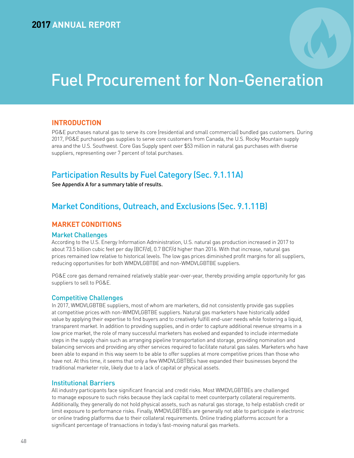# Fuel Procurement for Non-Generation

## **INTRODUCTION**

PG&E purchases natural gas to serve its core (residential and small commercial) bundled gas customers. During 2017, PG&E purchased gas supplies to serve core customers from Canada, the U.S. Rocky Mountain supply area and the U.S. Southwest. Core Gas Supply spent over \$53 million in natural gas purchases with diverse suppliers, representing over 7 percent of total purchases.

## Participation Results by Fuel Category (Sec. 9.1.11A)

See Appendix A for a summary table of results.

## Market Conditions, Outreach, and Exclusions (Sec. 9.1.11B)

## **MARKET CONDITIONS**

#### Market Challenges

According to the U.S. Energy Information Administration, U.S. natural gas production increased in 2017 to about 73.5 billion cubic feet per day (BCF/d), 0.7 BCF/d higher than 2016. With that increase, natural gas prices remained low relative to historical levels. The low gas prices diminished profit margins for all suppliers, reducing opportunities for both WMDVLGBTBE and non-WMDVLGBTBE suppliers.

PG&E core gas demand remained relatively stable year-over-year, thereby providing ample opportunity for gas suppliers to sell to PG&E.

#### Competitive Challenges

In 2017, WMDVLGBTBE suppliers, most of whom are marketers, did not consistently provide gas supplies at competitive prices with non-WMDVLGBTBE suppliers. Natural gas marketers have historically added value by applying their expertise to find buyers and to creatively fulfill end-user needs while fostering a liquid, transparent market. In addition to providing supplies, and in order to capture additional revenue streams in a low price market, the role of many successful marketers has evolved and expanded to include intermediate steps in the supply chain such as arranging pipeline transportation and storage, providing nomination and balancing services and providing any other services required to facilitate natural gas sales. Marketers who have been able to expand in this way seem to be able to offer supplies at more competitive prices than those who have not. At this time, it seems that only a few WMDVLGBTBEs have expanded their businesses beyond the traditional marketer role, likely due to a lack of capital or physical assets.

#### Institutional Barriers

All industry participants face significant financial and credit risks. Most WMDVLGBTBEs are challenged to manage exposure to such risks because they lack capital to meet counterparty collateral requirements. Additionally, they generally do not hold physical assets, such as natural gas storage, to help establish credit or limit exposure to performance risks. Finally, WMDVLGBTBEs are generally not able to participate in electronic or online trading platforms due to their collateral requirements. Online trading platforms account for a significant percentage of transactions in today's fast-moving natural gas markets.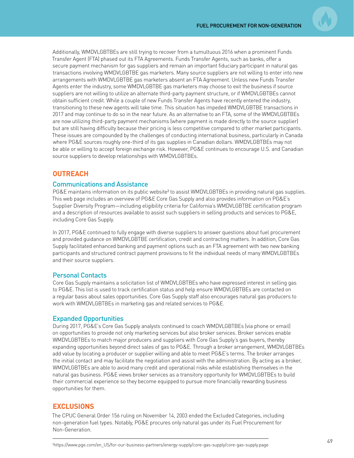Additionally, WMDVLGBTBEs are still trying to recover from a tumultuous 2016 when a prominent Funds Transfer Agent (FTA) phased out its FTA Agreements. Funds Transfer Agents, such as banks, offer a secure payment mechanism for gas suppliers and remain an important fiduciary participant in natural gas transactions involving WMDVLGBTBE gas marketers. Many source suppliers are not willing to enter into new arrangements with WMDVLGBTBE gas marketers absent an FTA Agreement. Unless new Funds Transfer Agents enter the industry, some WMDVLGBTBE gas marketers may choose to exit the business if source suppliers are not willing to utilize an alternate third-party payment structure, or if WMDVLGBTBEs cannot obtain sufficient credit. While a couple of new Funds Transfer Agents have recently entered the industry, transitioning to these new agents will take time. This situation has impeded WMDVLGBTBE transactions in 2017 and may continue to do so in the near future. As an alternative to an FTA, some of the WMDVLGBTBEs are now utilizing third-party payment mechanisms (where payment is made directly to the source supplier) but are still having difficulty because their pricing is less competitive compared to other market participants. These issues are compounded by the challenges of conducting international business, particularly in Canada where PG&E sources roughly one-third of its gas supplies in Canadian dollars. WMDVLGBTBEs may not be able or willing to accept foreign exchange risk. However, PG&E continues to encourage U.S. and Canadian source suppliers to develop relationships with WMDVLGBTBEs.

## **OUTREACH**

#### Communications and Assistance

PG&E maintains information on its public website<sup>2</sup> to assist WMDVLGBTBEs in providing natural gas supplies. This web page includes an overview of PG&E Core Gas Supply and also provides information on PG&E's Supplier Diversity Program—including eligibility criteria for California's WMDVLGBTBE certification program and a description of resources available to assist such suppliers in selling products and services to PG&E, including Core Gas Supply.

In 2017, PG&E continued to fully engage with diverse suppliers to answer questions about fuel procurement and provided guidance on WMDVLGBTBE certification, credit and contracting matters. In addition, Core Gas Supply facilitated enhanced banking and payment options such as an FTA agreement with two new banking participants and structured contract payment provisions to fit the individual needs of many WMDVLGBTBEs and their source suppliers.

#### Personal Contacts

Core Gas Supply maintains a solicitation list of WMDVLGBTBEs who have expressed interest in selling gas to PG&E. This list is used to track certification status and help ensure WMDVLGBTBEs are contacted on a regular basis about sales opportunities. Core Gas Supply staff also encourages natural gas producers to work with WMDVLGBTBEs in marketing gas and related services to PG&E.

#### Expanded Opportunities

During 2017, PG&E's Core Gas Supply analysts continued to coach WMDVLGBTBEs (via phone or email) on opportunities to provide not only marketing services but also broker services. Broker services enable WMDVLGBTBEs to match major producers and suppliers with Core Gas Supply's gas buyers, thereby expanding opportunities beyond direct sales of gas to PG&E. Through a broker arrangement, WMDVLGBTBEs add value by locating a producer or supplier willing and able to meet PG&E's terms. The broker arranges the initial contact and may facilitate the negotiation and assist with the administration. By acting as a broker, WMDVLGBTBEs are able to avoid many credit and operational risks while establishing themselves in the natural gas business. PG&E views broker services as a transitory opportunity for WMDVLGBTBEs to build their commercial experience so they become equipped to pursue more financially rewarding business opportunities for them.

## **EXCLUSIONS**

The CPUC General Order 156 ruling on November 14, 2003 ended the Excluded Categories, including non-generation fuel types. Notably, PG&E procures only natural gas under its Fuel Procurement for Non-Generation.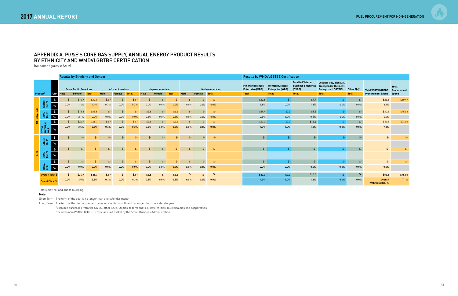## APPENDIX A. PG&E'S CORE GAS SUPPLY, ANNUAL ENERGY PRODUCT RESULTS BY ETHNICITY AND WMDVLGBTBE CERTIFICATION

(All dollar figures in \$MM)

|                           |                         | <b>Results by Ethnicity and Gender</b> |         |                               |              |       |                         |               |       |                          |              |               |               |                        | <b>Results by WMDVLGBTBE Certification</b>          |                                                  |                                                                 |                                                                                      |                |                                     |              |
|---------------------------|-------------------------|----------------------------------------|---------|-------------------------------|--------------|-------|-------------------------|---------------|-------|--------------------------|--------------|---------------|---------------|------------------------|-----------------------------------------------------|--------------------------------------------------|-----------------------------------------------------------------|--------------------------------------------------------------------------------------|----------------|-------------------------------------|--------------|
|                           |                         |                                        |         | <b>Asian Pacific American</b> |              |       | <b>African American</b> |               |       | <b>Hispanic American</b> |              |               |               | <b>Native American</b> | <b>Minority Business</b><br><b>Enterprise (MBE)</b> | <b>Women Business</b><br><b>Enterprise (WBE)</b> | <b>Disabled Veteran</b><br><b>Business Enterprise</b><br>(DVBE) | Lesbian, Gay, Bisexual,<br><b>Transgender Business</b><br><b>Enterprise (LGBTBE)</b> | Other $8(a)^2$ | <b>Total WMDVLGBTBE</b> Procurement | <b>Total</b> |
| Product <sup>1</sup>      |                         | <b>Unit</b>                            | Male    | Female                        | <b>Total</b> | Male  | Female                  | <b>Total</b>  | Male  | Female                   | <b>Total</b> | Male          | Female        | <b>Total</b>           | <b>Total</b>                                        | <b>Total</b>                                     | <b>Total</b>                                                    | <b>Total</b>                                                                         | <b>Total</b>   | <b>Procurement Spend</b>            | Spend        |
|                           |                         | $\sqrt{5}$                             | $$-$    | \$10.9                        | \$10.9       | \$2.7 | $$-$                    | \$2.7         | $$-$  |                          | $S-$         | \$-           | \$-           | $$-$                   | \$13.6                                              | $$ -$                                            | \$9.9                                                           | \$.                                                                                  |                | \$23.5                              | \$309.7      |
|                           | SHORT<br>TERM           |                                        | 0.0%    | 1.4%                          | 1.4%         | 0.3%  | 0.0%                    | 0.3%          | 0.0%  | 0.0%                     | 0.0%         | 0.0%          | 0.0%          | 0.0%                   | 1.8%                                                | 0.0%                                             | 1.3%                                                            | $0.0\%$                                                                              | 0.0%           | 3.1%                                |              |
|                           |                         | $\frac{4}{3}$                          | $$ -$   | \$15.8                        | \$15.8       | $$-$  | $$-$                    | $$-$          | \$3.6 | $$-$                     | \$3.6        | $$-$          | $$ -$         | $$-$                   | \$19.4                                              | \$7.3                                            | \$3.6                                                           | $$-$                                                                                 |                | \$30.3                              | \$452.3      |
| NATURAL GAS               | LONG<br>TERM            | %                                      | 0.0%    | 2.1%                          | 0.0%         | 0.0%  | 0.0%                    | 0.0%          | 0.5%  | 0.0%                     | 0.5%         | 0.0%          | 0.0%          | 0.0%                   | 2.5%                                                | 1.0%                                             | 0.5%                                                            | $0.0\%$                                                                              | 0.0%           | 4.0%                                |              |
|                           |                         | $\boldsymbol{\mathsf{s}}$              | $$-$    | \$26.7                        | \$26.7       | \$2.7 | $$ -$                   | \$2.7         | \$3.6 | $\frac{2}{2}$            | \$3.6        | $\frac{2}{2}$ | $\frac{4}{5}$ | $\mathcal{S}$ -        | \$33.0                                              | \$7.3                                            | \$13.6                                                          | \$-                                                                                  | $\frac{2}{3}$  | \$53.8                              | \$762.0      |
|                           | TOTAL<br>NATURAL<br>GAS |                                        | 0.0%    | 3.5%                          | 3.5%         | 0.3%  | 0.0%                    | 0.3%          | 0.5%  | 0.0%                     | 0.5%         | 0.0%          | 0.0%          | 0.0%                   | 4.3%                                                | 1.0%                                             | 1.8%                                                            | 0.0%                                                                                 | 0.0%           | 7.1%                                |              |
|                           |                         | $\frac{1}{2}$                          | $$ -$   | $$ -$                         | $$ -$        | $$-$  | $$ -$                   | $$-$          | $$-$  | $$-$                     | $$ -$        | $$-$          | $$ -$         | $$-$                   | $$-$                                                | $$-$                                             | $$-$                                                            | $$-$                                                                                 |                | $$ -$                               | $$-$         |
|                           | SHORT<br>TERM           | $\%$                                   |         |                               |              |       |                         |               |       |                          |              |               |               |                        |                                                     |                                                  |                                                                 |                                                                                      |                |                                     |              |
|                           |                         | $\frac{1}{2}$                          | $$-$    | $$ -$                         | $$ -$        | $$-$  | $$ -$                   | $$-$          | $$ -$ | $$-$                     | $$ -$        | $$ -$         | $S-$          | $$-$                   | $$-$                                                | $$-$                                             | $$ -$                                                           | $$-$                                                                                 |                | $$-$                                | $$-$         |
| $\mathbf{B}^{\mathbf{G}}$ | LONG<br>TERM            | $\%$                                   |         |                               |              |       |                         |               |       |                          |              |               |               |                        |                                                     |                                                  |                                                                 |                                                                                      |                |                                     |              |
|                           |                         | $\frac{1}{2}$                          | $$-$    | $$-$                          | $$-$         | $$-$  | $\frac{4}{5}$           | $\frac{4}{2}$ | $$-$  | $$-$                     | $$-$         | $\frac{4}{5}$ | $$-$          | $\mathcal{S}$ -        | $\zeta$                                             | $\mathcal{S}$ -                                  | $\phi$                                                          | $\mathfrak{L}$                                                                       |                | $$-$                                | $$-$         |
|                           | TOTAL<br>LPG            |                                        | $0.0\%$ | 0.0%                          | 0.0%         | 0.0%  | 0.0%                    | 0.0%          | 0.0%  | 0.0%                     | 0.0%         | 0.0%          | 0.0%          | 0.0%                   | 0.0%                                                | 0.0%                                             | $0.0\%$                                                         | $0.0\%$                                                                              | 0.0%           | 0.0%                                |              |
|                           | Overall Total \$        |                                        | \$-     | \$26.7                        | \$26.7       | \$2.7 | \$-                     | \$2.7         | \$3.6 | \$-                      | \$3.6        | \$-           | $$-$          | \$-                    | \$33.0                                              | \$7.3                                            | \$13.6                                                          | $$-$                                                                                 |                | \$53.8                              | \$762.0      |
|                           | <b>Overall Total 9</b>  |                                        | 0.0%    | 3.5%                          | 3.5%         | 0.3%  | 0.0%                    | 0.3%          | 0.5%  | 0.0%                     | 0.5%         | 0.0%          | 0.0%          | 0.0%                   | 4.3%                                                | 1.0%                                             | 1.8%                                                            | 0.0%                                                                                 | $0.0\%$        | Overall<br><b>WMDVLGBTBE %</b>      | 7.1%         |

Totals may not add due to rounding.

#### **Note:**

Short Term The term of the deal is no longer than one calendar month

Long Term The term of the deal is greater than one calendar month and no longer than one calendar year

1 Excludes purchases from the CAISO, other IOUs, utilities, federal entities, state entities, municipalities and cooperatives 2 Includes non-WMDVLGBTBE firms classified as 8(a) by the Small Business Administration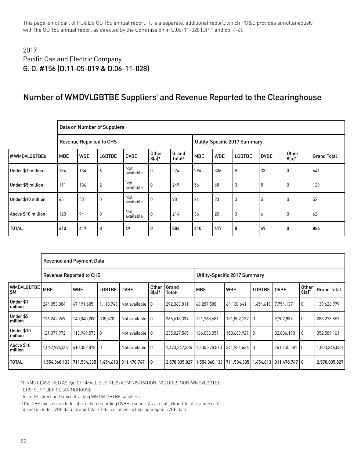This page is not part of PG&E's GO 156 annual report. It is a separate, additional report, which PG&E provides simultaneously with the GO 156 annual report as directed by the Commission in D.06-11-028 (OP 1 and pp. 4-6).

## 2017 Pacific Gas and Electric Company G. O. #156 (D.11-05-019 & D.06-11-028)

## Number of WMDVLGBTBE Suppliers<sup>1</sup> and Revenue Reported to the Clearinghouse

|                    |            |            | Data on Number of Suppliers    |                  |                  |                             |            |            |                               |              |                  |                    |
|--------------------|------------|------------|--------------------------------|------------------|------------------|-----------------------------|------------|------------|-------------------------------|--------------|------------------|--------------------|
|                    |            |            | <b>Revenue Reported to CHS</b> |                  |                  |                             |            |            | Utility-Specific 2017 Summary |              |                  |                    |
| # WMDVLGBTBEs      | <b>MBE</b> | <b>WBE</b> | <b>LGBTBE</b>                  | <b>DVBE</b>      | Other<br>$8(a)*$ | Grand<br>Total <sup>2</sup> | <b>MBE</b> | <b>WBE</b> | <b>LGBTBE</b>                 | <b>DVBE</b>  | Other<br>$8(a)*$ | <b>Grand Total</b> |
| Under \$1 million  | 134        | 134        | 6                              | Not<br>available | $\mathbf 0$      | 274                         | 294        | 306        | $\overline{8}$                | 33           | 0                | 641                |
| Under \$5 million  | 111        | 136        | $\overline{2}$                 | Not<br>available | 0                | 249                         | 56         | 68         | 0                             | 5            | 0                | 129                |
| Under \$10 million | 45         | 53         | 0                              | Not<br>available | 0                | 98                          | 24         | 23         | $\overline{0}$                | 5            | 0                | 52                 |
| Above \$10 million | 120        | 94         | 0                              | Not<br>available | 0                | 214                         | 36         | 20         | $\overline{0}$                | <sup>6</sup> | 0                | 62                 |
| <b>TOTAL</b>       | 410        | 417        | 8                              | 49               | 0                | 884                         | 410        | 417        | 8                             | 49           | 0                | 884                |

|                          | <b>Revenue and Payment Data</b> |                     |               |                                       |                  |                             |                               |               |                 |                             |                |                    |
|--------------------------|---------------------------------|---------------------|---------------|---------------------------------------|------------------|-----------------------------|-------------------------------|---------------|-----------------|-----------------------------|----------------|--------------------|
|                          | <b>Revenue Reported to CHS</b>  |                     |               |                                       |                  |                             | Utility-Specific 2017 Summary |               |                 |                             |                |                    |
| <b>WMDVLGBTBE</b><br>\$Μ | <b>MBE</b>                      | <b>WBE</b>          | <b>LGBTBE</b> | <b>DVBE</b>                           | Other<br>$8(a)*$ | Grand<br>Total <sup>2</sup> | <b>MBE</b>                    | <b>WBE</b>    | <b>LGBTBE</b>   | <b>DVBE</b>                 | Other<br>8(a)* | <b>Grand Total</b> |
| Under \$1<br>million     | 244,053,384                     | 47,191,685          | 1,118,743     | Not available 10                      |                  | 292,363,811                 | 66,287,588                    | 64,130,641    |                 | 1,454,613 7,754,137         | 0              | 139,626,979        |
| Under \$5<br>million     | 126,242,269                     | 140,040,200 335,870 |               | Not available 10                      |                  | 266,618,339                 | 121,768,681                   | 151,802,137 0 |                 | 9,702,839                   | 0              | 283,273,657        |
| Under \$10<br>million    | 121,077,972                     | 113.949.573 0       |               | Not available 10                      |                  | 235,027,545                 | 166,033,051                   | 153,669,921   | $\overline{10}$ | 32,886,190                  | $\Omega$       | 352,589,161        |
| Above \$10<br>million    | 1,062,994,507                   | 410.352.878 0       |               | Not available 10                      |                  | 1,473,347,386               | 1,200,278,813                 | 341.931.636 0 |                 | 261,135,581                 | 10             | 1,803,346,030      |
| <b>TOTAL</b>             | 1,554,368,133                   |                     |               | 711,534,335   1,454,613   311,478,747 | 0                | 2,578,835,827               | 1,554,368,133                 | 711,534,335   |                 | 1,454,613   311,478,747   0 |                | 2,578,835,827      |

\*FIRMS CLASSIFIED AS 8(a) OF SMALL BUSINESS ADMINISTRATION INCLUDES NON-WMDVLGBTBE.

CHS: SUPPLIER CLEARINGHOUSE

1Includes direct and subcontracting WMDVLGBTBE suppliers

2The CHS does not include information regarding DVBE revenue. As a result, Grand Total revenue cells

do not include DVBE data. Grand Total / Total cell does include aggregate DVBE data.